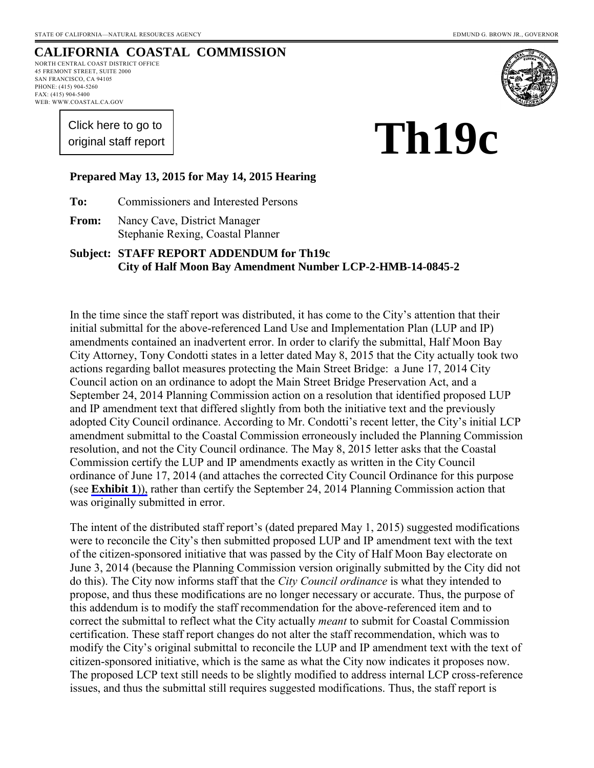# **CALIFORNIA COASTAL COMMISSION**

NORTH CENTRAL COAST DISTRICT OFFICE 45 FREMONT STREET, SUITE 2000 SAN FRANCISCO, CA 94105 PHONE: (415) 904-5260 FAX: (415) 904-5400 WEB: WWW.COASTAL.CA.GOV

> [Click here to go to](#page-10-0)  original staff report

# **Th19c**

#### **Prepared May 13, 2015 for May 14, 2015 Hearing**

**To:** Commissioners and Interested Persons

**From:** Nancy Cave, District Manager Stephanie Rexing, Coastal Planner

#### **Subject: STAFF REPORT ADDENDUM for Th19c City of Half Moon Bay Amendment Number LCP-2-HMB-14-0845-2**

In the time since the staff report was distributed, it has come to the City's attention that their initial submittal for the above-referenced Land Use and Implementation Plan (LUP and IP) amendments contained an inadvertent error. In order to clarify the submittal, Half Moon Bay City Attorney, Tony Condotti states in a letter dated May 8, 2015 that the City actually took two actions regarding ballot measures protecting the Main Street Bridge: a June 17, 2014 City Council action on an ordinance to adopt the Main Street Bridge Preservation Act, and a September 24, 2014 Planning Commission action on a resolution that identified proposed LUP and IP amendment text that differed slightly from both the initiative text and the previously adopted City Council ordinance. According to Mr. Condotti's recent letter, the City's initial LCP amendment submittal to the Coastal Commission erroneously included the Planning Commission resolution, and not the City Council ordinance. The May 8, 2015 letter asks that the Coastal Commission certify the LUP and IP amendments exactly as written in the City Council ordinance of June 17, 2014 (and attaches the corrected City Council Ordinance for this purpose (see **[Exhibit 1](#page-3-0)**)), rather than certify the September 24, 2014 Planning Commission action that was originally submitted in error.

The intent of the distributed staff report's (dated prepared May 1, 2015) suggested modifications were to reconcile the City's then submitted proposed LUP and IP amendment text with the text of the citizen-sponsored initiative that was passed by the City of Half Moon Bay electorate on June 3, 2014 (because the Planning Commission version originally submitted by the City did not do this). The City now informs staff that the *City Council ordinance* is what they intended to propose, and thus these modifications are no longer necessary or accurate. Thus, the purpose of this addendum is to modify the staff recommendation for the above-referenced item and to correct the submittal to reflect what the City actually *meant* to submit for Coastal Commission certification. These staff report changes do not alter the staff recommendation, which was to modify the City's original submittal to reconcile the LUP and IP amendment text with the text of citizen-sponsored initiative, which is the same as what the City now indicates it proposes now. The proposed LCP text still needs to be slightly modified to address internal LCP cross-reference issues, and thus the submittal still requires suggested modifications. Thus, the staff report is

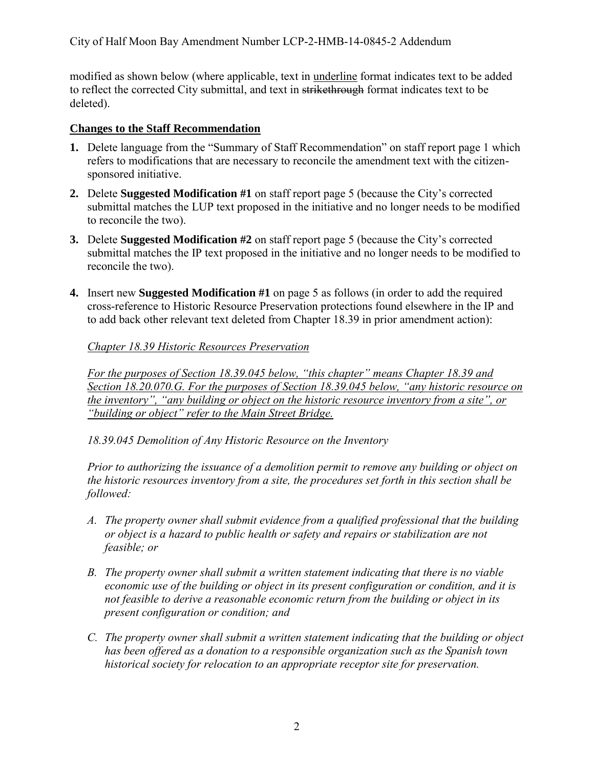modified as shown below (where applicable, text in underline format indicates text to be added to reflect the corrected City submittal, and text in strikethrough format indicates text to be deleted).

#### **Changes to the Staff Recommendation**

- **1.** Delete language from the "Summary of Staff Recommendation" on staff report page 1 which refers to modifications that are necessary to reconcile the amendment text with the citizensponsored initiative.
- **2.** Delete **Suggested Modification #1** on staff report page 5 (because the City's corrected submittal matches the LUP text proposed in the initiative and no longer needs to be modified to reconcile the two).
- **3.** Delete **Suggested Modification #2** on staff report page 5 (because the City's corrected submittal matches the IP text proposed in the initiative and no longer needs to be modified to reconcile the two).
- **4.** Insert new **Suggested Modification #1** on page 5 as follows (in order to add the required cross-reference to Historic Resource Preservation protections found elsewhere in the IP and to add back other relevant text deleted from Chapter 18.39 in prior amendment action):

*Chapter 18.39 Historic Resources Preservation* 

*For the purposes of Section 18.39.045 below, "this chapter" means Chapter 18.39 and Section 18.20.070.G. For the purposes of Section 18.39.045 below, "any historic resource on the inventory", "any building or object on the historic resource inventory from a site", or "building or object" refer to the Main Street Bridge.* 

*18.39.045 Demolition of Any Historic Resource on the Inventory* 

*Prior to authorizing the issuance of a demolition permit to remove any building or object on the historic resources inventory from a site, the procedures set forth in this section shall be followed:* 

- *A. The property owner shall submit evidence from a qualified professional that the building or object is a hazard to public health or safety and repairs or stabilization are not feasible; or*
- *B. The property owner shall submit a written statement indicating that there is no viable economic use of the building or object in its present configuration or condition, and it is not feasible to derive a reasonable economic return from the building or object in its present configuration or condition; and*
- *C. The property owner shall submit a written statement indicating that the building or object has been offered as a donation to a responsible organization such as the Spanish town historical society for relocation to an appropriate receptor site for preservation.*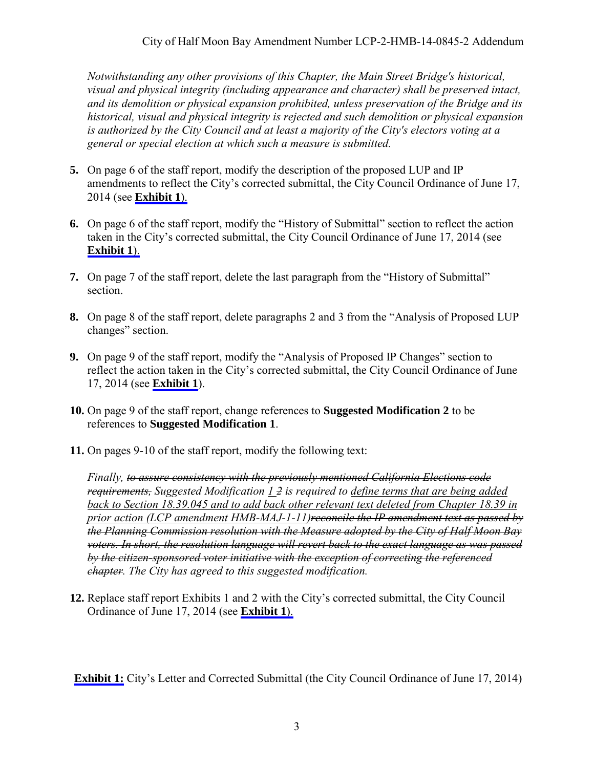*Notwithstanding any other provisions of this Chapter, the Main Street Bridge's historical, visual and physical integrity (including appearance and character) shall be preserved intact, and its demolition or physical expansion prohibited, unless preservation of the Bridge and its historical, visual and physical integrity is rejected and such demolition or physical expansion is authorized by the City Council and at least a majority of the City's electors voting at a general or special election at which such a measure is submitted.* 

- **5.** On page 6 of the staff report, modify the description of the proposed LUP and IP amendments to reflect the City's corrected submittal, the City Council Ordinance of June 17, 2014 (see **[Exhibit 1](#page-3-0)**).
- **6.** On page 6 of the staff report, modify the "History of Submittal" section to reflect the action taken in the City's corrected submittal, the City Council Ordinance of June 17, 2014 (see **[Exhibit 1](#page-3-0)**).
- **7.** On page 7 of the staff report, delete the last paragraph from the "History of Submittal" section.
- **8.** On page 8 of the staff report, delete paragraphs 2 and 3 from the "Analysis of Proposed LUP changes" section.
- **9.** On page 9 of the staff report, modify the "Analysis of Proposed IP Changes" section to reflect the action taken in the City's corrected submittal, the City Council Ordinance of June 17, 2014 (see **[Exhibit 1](#page-3-0)**).
- **10.** On page 9 of the staff report, change references to **Suggested Modification 2** to be references to **Suggested Modification 1**.
- **11.** On pages 9-10 of the staff report, modify the following text:

*Finally, to assure consistency with the previously mentioned California Elections code requirements, Suggested Modification 1 2 is required to define terms that are being added back to Section 18.39.045 and to add back other relevant text deleted from Chapter 18.39 in prior action (LCP amendment HMB-MAJ-1-11)reconcile the IP amendment text as passed by the Planning Commission resolution with the Measure adopted by the City of Half Moon Bay voters. In short, the resolution language will revert back to the exact language as was passed by the citizen-sponsored voter initiative with the exception of correcting the referenced chapter. The City has agreed to this suggested modification.* 

**12.** Replace staff report Exhibits 1 and 2 with the City's corrected submittal, the City Council Ordinance of June 17, 2014 (see **[Exhibit 1](#page-3-0)**).

**[Exhibit 1:](#page-3-0)** City's Letter and Corrected Submittal (the City Council Ordinance of June 17, 2014)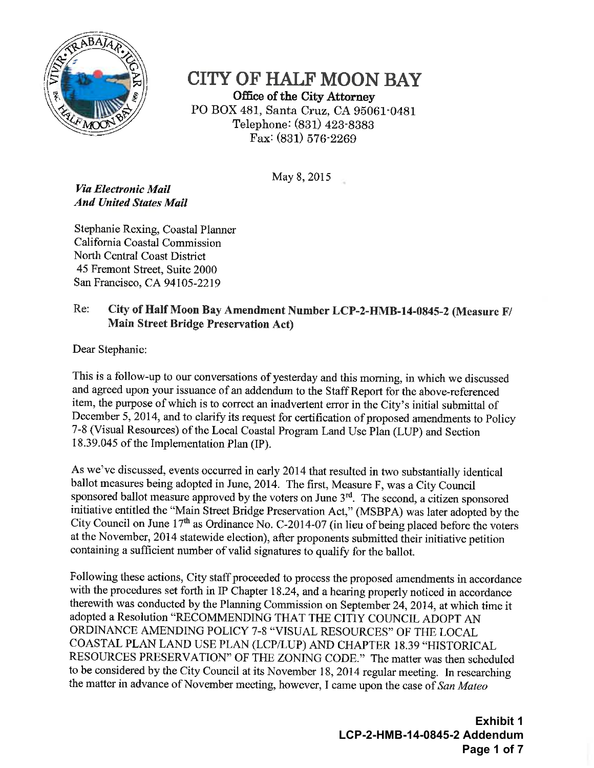<span id="page-3-0"></span>

**CITY OF HALF MOON BAY** Office of the City Attorney PO BOX 481, Santa Cruz, CA 95061-0481 Telephone: (831) 423-8383 Fax:  $(831)$  576-2269

May 8, 2015

Via Electronic Mail **And United States Mail** 

Stephanie Rexing, Coastal Planner California Coastal Commission North Central Coast District 45 Fremont Street, Suite 2000 San Francisco, CA 94105-2219

#### Re: City of Half Moon Bay Amendment Number LCP-2-HMB-14-0845-2 (Measure F/ **Main Street Bridge Preservation Act)**

Dear Stephanie:

This is a follow-up to our conversations of yesterday and this morning, in which we discussed and agreed upon your issuance of an addendum to the Staff Report for the above-referenced item, the purpose of which is to correct an inadvertent error in the City's initial submittal of December 5, 2014, and to clarify its request for certification of proposed amendments to Policy 7-8 (Visual Resources) of the Local Coastal Program Land Use Plan (LUP) and Section 18.39.045 of the Implementation Plan (IP).

As we've discussed, events occurred in early 2014 that resulted in two substantially identical ballot measures being adopted in June, 2014. The first, Measure F, was a City Council sponsored ballot measure approved by the voters on June 3<sup>rd</sup>. The second, a citizen sponsored initiative entitled the "Main Street Bridge Preservation Act," (MSBPA) was later adopted by the City Council on June 17<sup>th</sup> as Ordinance No. C-2014-07 (in lieu of being placed before the voters at the November, 2014 statewide election), after proponents submitted their initiative petition containing a sufficient number of valid signatures to qualify for the ballot.

Following these actions, City staff proceeded to process the proposed amendments in accordance with the procedures set forth in IP Chapter 18.24, and a hearing properly noticed in accordance therewith was conducted by the Planning Commission on September 24, 2014, at which time it adopted a Resolution "RECOMMENDING THAT THE CITIY COUNCIL ADOPT AN ORDINANCE AMENDING POLICY 7-8 "VISUAL RESOURCES" OF THE LOCAL COASTAL PLAN LAND USE PLAN (LCP/LUP) AND CHAPTER 18.39 "HISTORICAL RESOURCES PRESERVATION" OF THE ZONING CODE." The matter was then scheduled to be considered by the City Council at its November 18, 2014 regular meeting. In researching the matter in advance of November meeting, however, I came upon the case of San Mateo

> **Exhibit 1** LCP-2-HMB-14-0845-2 Addendum Page 1 of 7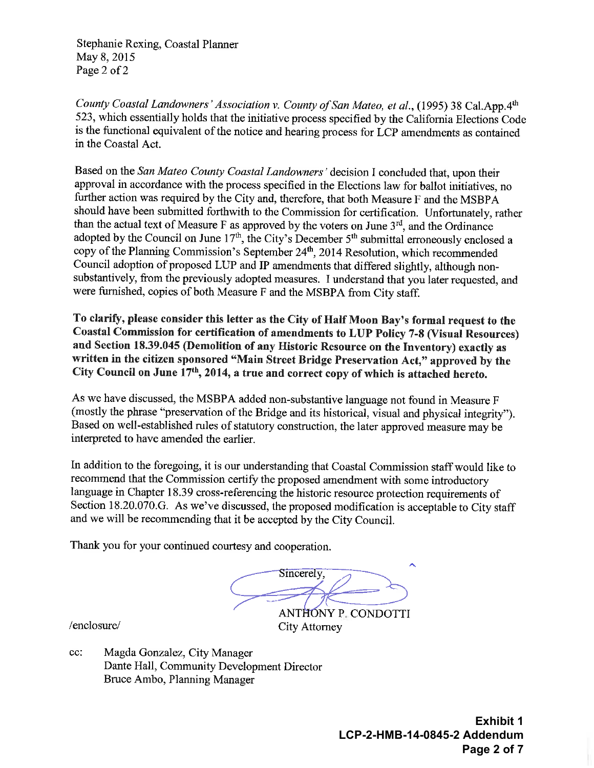Stephanie Rexing, Coastal Planner May 8, 2015 Page 2 of 2

County Coastal Landowners' Association v. County of San Mateo, et al., (1995) 38 Cal.App.4th 523, which essentially holds that the initiative process specified by the California Elections Code is the functional equivalent of the notice and hearing process for LCP amendments as contained in the Coastal Act.

Based on the San Mateo County Coastal Landowners' decision I concluded that, upon their approval in accordance with the process specified in the Elections law for ballot initiatives, no further action was required by the City and, therefore, that both Measure F and the MSBPA should have been submitted forthwith to the Commission for certification. Unfortunately, rather than the actual text of Measure F as approved by the voters on June 3<sup>rd</sup>, and the Ordinance adopted by the Council on June  $17<sup>th</sup>$ , the City's December  $5<sup>th</sup>$  submittal erroneously enclosed a copy of the Planning Commission's September 24<sup>th</sup>, 2014 Resolution, which recommended Council adoption of proposed LUP and IP amendments that differed slightly, although nonsubstantively, from the previously adopted measures. I understand that you later requested, and were furnished, copies of both Measure F and the MSBPA from City staff.

To clarify, please consider this letter as the City of Half Moon Bay's formal request to the Coastal Commission for certification of amendments to LUP Policy 7-8 (Visual Resources) and Section 18.39.045 (Demolition of any Historic Resource on the Inventory) exactly as written in the citizen sponsored "Main Street Bridge Preservation Act," approved by the City Council on June 17th, 2014, a true and correct copy of which is attached hereto.

As we have discussed, the MSBPA added non-substantive language not found in Measure F (mostly the phrase "preservation of the Bridge and its historical, visual and physical integrity"). Based on well-established rules of statutory construction, the later approved measure may be interpreted to have amended the earlier.

In addition to the foregoing, it is our understanding that Coastal Commission staff would like to recommend that the Commission certify the proposed amendment with some introductory language in Chapter 18.39 cross-referencing the historic resource protection requirements of Section 18.20.070.G. As we've discussed, the proposed modification is acceptable to City staff and we will be recommending that it be accepted by the City Council.

Thank you for your continued courtesy and cooperation.

Sincerely. ANTHONY P. CONDOTTI City Attorney

/enclosure/

cc: Magda Gonzalez, City Manager Dante Hall, Community Development Director Bruce Ambo, Planning Manager

> **Exhibit 1** LCP-2-HMB-14-0845-2 Addendum Page 2 of 7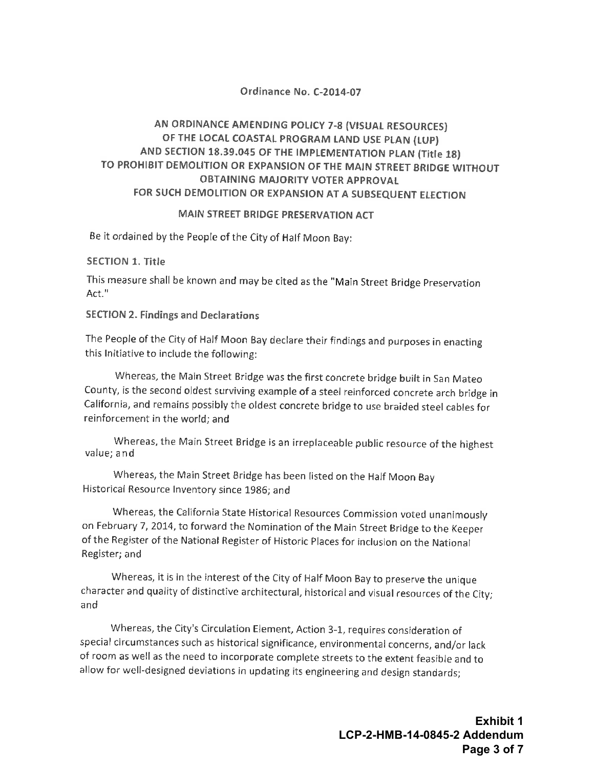#### Ordinance No. C-2014-07

#### AN ORDINANCE AMENDING POLICY 7-8 (VISUAL RESOURCES) OF THE LOCAL COASTAL PROGRAM LAND USE PLAN (LUP) AND SECTION 18.39.045 OF THE IMPLEMENTATION PLAN (Title 18) TO PROHIBIT DEMOLITION OR EXPANSION OF THE MAIN STREET BRIDGE WITHOUT **OBTAINING MAJORITY VOTER APPROVAL** FOR SUCH DEMOLITION OR EXPANSION AT A SUBSEQUENT ELECTION

#### MAIN STREET BRIDGE PRESERVATION ACT

Be it ordained by the People of the City of Half Moon Bay:

#### **SECTION 1. Title**

This measure shall be known and may be cited as the "Main Street Bridge Preservation Act."

#### **SECTION 2. Findings and Declarations**

The People of the City of Half Moon Bay declare their findings and purposes in enacting this Initiative to include the following:

Whereas, the Main Street Bridge was the first concrete bridge built in San Mateo County, is the second oldest surviving example of a steel reinforced concrete arch bridge in California, and remains possibly the oldest concrete bridge to use braided steel cables for reinforcement in the world: and

Whereas, the Main Street Bridge is an irreplaceable public resource of the highest value; and

Whereas, the Main Street Bridge has been listed on the Half Moon Bay Historical Resource Inventory since 1986; and

Whereas, the California State Historical Resources Commission voted unanimously on February 7, 2014, to forward the Nomination of the Main Street Bridge to the Keeper of the Register of the National Register of Historic Places for inclusion on the National Register; and

Whereas, it is in the interest of the City of Half Moon Bay to preserve the unique character and quality of distinctive architectural, historical and visual resources of the City; and

Whereas, the City's Circulation Element, Action 3-1, requires consideration of special circumstances such as historical significance, environmental concerns, and/or lack of room as well as the need to incorporate complete streets to the extent feasible and to allow for well-designed deviations in updating its engineering and design standards;

> **Exhibit 1** LCP-2-HMB-14-0845-2 Addendum Page 3 of 7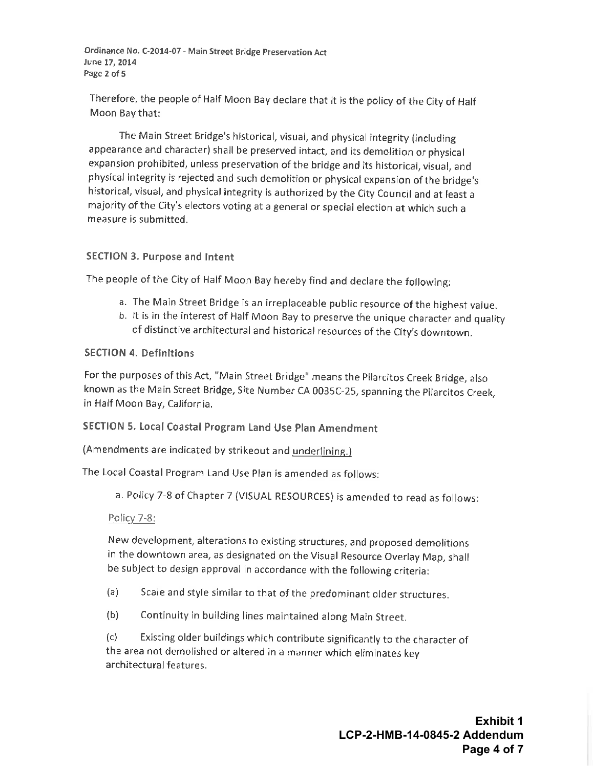Ordinance No. C-2014-07 - Main Street Bridge Preservation Act June 17, 2014 Page 2 of 5

Therefore, the people of Half Moon Bay declare that it is the policy of the City of Half Moon Bay that:

The Main Street Bridge's historical, visual, and physical integrity (including appearance and character) shall be preserved intact, and its demolition or physical expansion prohibited, unless preservation of the bridge and its historical, visual, and physical integrity is rejected and such demolition or physical expansion of the bridge's historical, visual, and physical integrity is authorized by the City Council and at least a majority of the City's electors voting at a general or special election at which such a measure is submitted.

#### SECTION 3. Purpose and Intent

The people of the City of Half Moon Bay hereby find and declare the following:

- a. The Main Street Bridge is an irreplaceable public resource of the highest value.
- b. It is in the interest of Half Moon Bay to preserve the unique character and quality of distinctive architectural and historical resources of the City's downtown.

#### **SECTION 4. Definitions**

For the purposes of this Act, "Main Street Bridge" means the Pilarcitos Creek Bridge, also known as the Main Street Bridge, Site Number CA 0035C-25, spanning the Pilarcitos Creek, in Half Moon Bay, California.

#### SECTION 5. Local Coastal Program Land Use Plan Amendment

(Amendments are indicated by strikeout and underlining.)

The Local Coastal Program Land Use Plan is amended as follows:

a. Policy 7-8 of Chapter 7 (VISUAL RESOURCES) is amended to read as follows:

#### Policy 7-8:

New development, alterations to existing structures, and proposed demolitions in the downtown area, as designated on the Visual Resource Overlay Map, shall be subject to design approval in accordance with the following criteria:

- $(a)$ Scale and style similar to that of the predominant older structures.
- $(b)$ Continuity in building lines maintained along Main Street.

Existing older buildings which contribute significantly to the character of  $(c)$ the area not demolished or altered in a manner which eliminates key architectural features.

> **Exhibit 1** LCP-2-HMB-14-0845-2 Addendum Page 4 of 7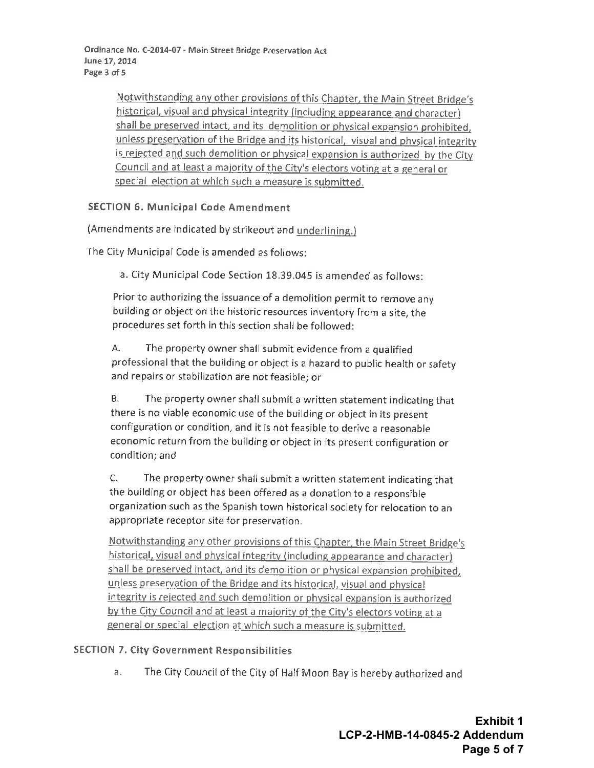Ordinance No. C-2014-07 - Main Street Bridge Preservation Act June 17, 2014 Page 3 of 5

> Notwithstanding any other provisions of this Chapter, the Main Street Bridge's historical, visual and physical integrity (including appearance and character) shall be preserved intact, and its demolition or physical expansion prohibited, unless preservation of the Bridge and its historical, visual and physical integrity is rejected and such demolition or physical expansion is authorized by the City Council and at least a majority of the City's electors voting at a general or special election at which such a measure is submitted.

#### **SECTION 6. Municipal Code Amendment**

(Amendments are indicated by strikeout and underlining.)

The City Municipal Code is amended as follows:

a. City Municipal Code Section 18.39.045 is amended as follows:

Prior to authorizing the issuance of a demolition permit to remove any building or object on the historic resources inventory from a site, the procedures set forth in this section shall be followed:

Α. The property owner shall submit evidence from a qualified professional that the building or object is a hazard to public health or safety and repairs or stabilization are not feasible; or

**B.** The property owner shall submit a written statement indicating that there is no viable economic use of the building or object in its present configuration or condition, and it is not feasible to derive a reasonable economic return from the building or object in its present configuration or condition; and

The property owner shall submit a written statement indicating that  $C.$ the building or object has been offered as a donation to a responsible organization such as the Spanish town historical society for relocation to an appropriate receptor site for preservation.

Notwithstanding any other provisions of this Chapter, the Main Street Bridge's historical, visual and physical integrity (including appearance and character) shall be preserved intact, and its demolition or physical expansion prohibited, unless preservation of the Bridge and its historical, visual and physical integrity is rejected and such demolition or physical expansion is authorized by the City Council and at least a majority of the City's electors voting at a general or special election at which such a measure is submitted.

#### **SECTION 7. City Government Responsibilities**

The City Council of the City of Half Moon Bay is hereby authorized and  $a.$ 

> **Exhibit 1** LCP-2-HMB-14-0845-2 Addendum Page 5 of 7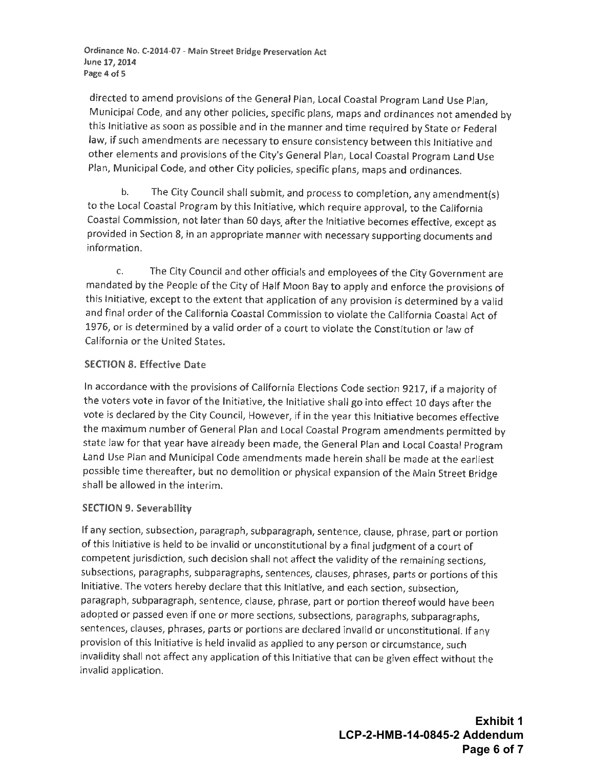Ordinance No. C-2014-07 - Main Street Bridge Preservation Act June 17, 2014 Page 4 of 5

directed to amend provisions of the General Plan, Local Coastal Program Land Use Plan, Municipal Code, and any other policies, specific plans, maps and ordinances not amended by this Initiative as soon as possible and in the manner and time required by State or Federal law, if such amendments are necessary to ensure consistency between this Initiative and other elements and provisions of the City's General Plan, Local Coastal Program Land Use Plan, Municipal Code, and other City policies, specific plans, maps and ordinances.

 $<sub>b</sub>$ .</sub> The City Council shall submit, and process to completion, any amendment(s) to the Local Coastal Program by this Initiative, which require approval, to the California Coastal Commission, not later than 60 days, after the Initiative becomes effective, except as provided in Section 8, in an appropriate manner with necessary supporting documents and information.

The City Council and other officials and employees of the City Government are  $\mathsf{C}$ . mandated by the People of the City of Half Moon Bay to apply and enforce the provisions of this initiative, except to the extent that application of any provision is determined by a valid and final order of the California Coastal Commission to violate the California Coastal Act of 1976, or is determined by a valid order of a court to violate the Constitution or law of California or the United States.

#### **SECTION 8. Effective Date**

In accordance with the provisions of California Elections Code section 9217, if a majority of the voters vote in favor of the Initiative, the Initiative shall go into effect 10 days after the vote is declared by the City Council, However, if in the year this Initiative becomes effective the maximum number of General Plan and Local Coastal Program amendments permitted by state law for that year have already been made, the General Plan and Local Coastal Program Land Use Plan and Municipal Code amendments made herein shall be made at the earliest possible time thereafter, but no demolition or physical expansion of the Main Street Bridge shall be allowed in the interim.

#### **SECTION 9. Severability**

If any section, subsection, paragraph, subparagraph, sentence, clause, phrase, part or portion of this Initiative is held to be invalid or unconstitutional by a final judgment of a court of competent jurisdiction, such decision shall not affect the validity of the remaining sections, subsections, paragraphs, subparagraphs, sentences, clauses, phrases, parts or portions of this Initiative. The voters hereby declare that this Initiative, and each section, subsection, paragraph, subparagraph, sentence, clause, phrase, part or portion thereof would have been adopted or passed even if one or more sections, subsections, paragraphs, subparagraphs, sentences, clauses, phrases, parts or portions are declared invalid or unconstitutional. If any provision of this Initiative is held invalid as applied to any person or circumstance, such invalidity shall not affect any application of this Initiative that can be given effect without the invalid application.

> **Exhibit 1** LCP-2-HMB-14-0845-2 Addendum Page 6 of 7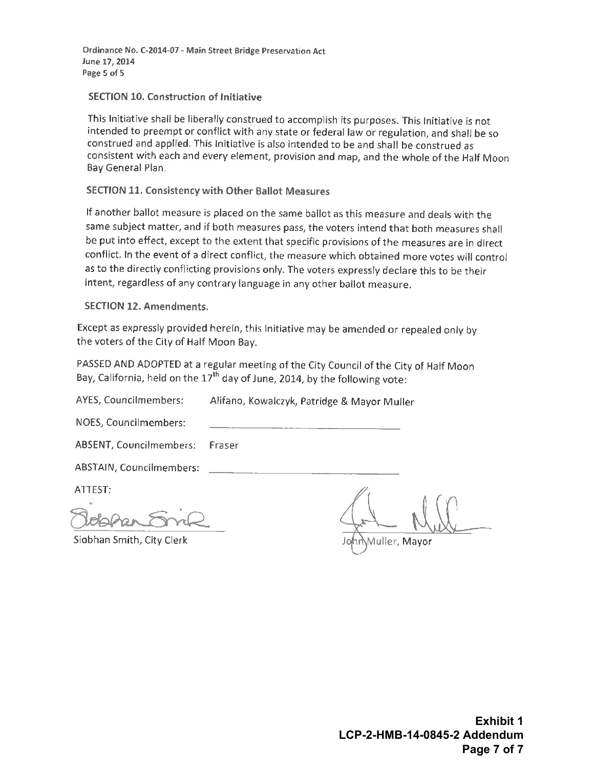Ordinance No. C-2014-07 - Main Street Bridge Preservation Act June 17, 2014 Page 5 of 5

#### **SECTION 10. Construction of Initiative**

This Initiative shall be liberally construed to accomplish its purposes. This initiative is not intended to preempt or conflict with any state or federal law or regulation, and shall be so construed and applied. This Initiative is also intended to be and shall be construed as consistent with each and every element, provision and map, and the whole of the Half Moon Bay General Plan.

#### **SECTION 11. Consistency with Other Ballot Measures**

If another ballot measure is placed on the same ballot as this measure and deals with the same subject matter, and if both measures pass, the voters intend that both measures shall be put into effect, except to the extent that specific provisions of the measures are in direct conflict. In the event of a direct conflict, the measure which obtained more votes will control as to the directly conflicting provisions only. The voters expressly declare this to be their intent, regardless of any contrary language in any other ballot measure.

#### **SECTION 12. Amendments.**

Except as expressly provided herein, this Initiative may be amended or repealed only by the voters of the City of Half Moon Bay.

PASSED AND ADOPTED at a regular meeting of the City Council of the City of Half Moon Bay, California, held on the 17<sup>th</sup> day of June, 2014, by the following vote:

AYES, Councilmembers: Alifano, Kowalczyk, Patridge & Mayor Muller NOES, Councilmembers: ABSENT, Councilmembers: Fraser ABSTAIN, Councilmembers: ATTEST: Siobhan Smith, City Clerk Muller, Mayor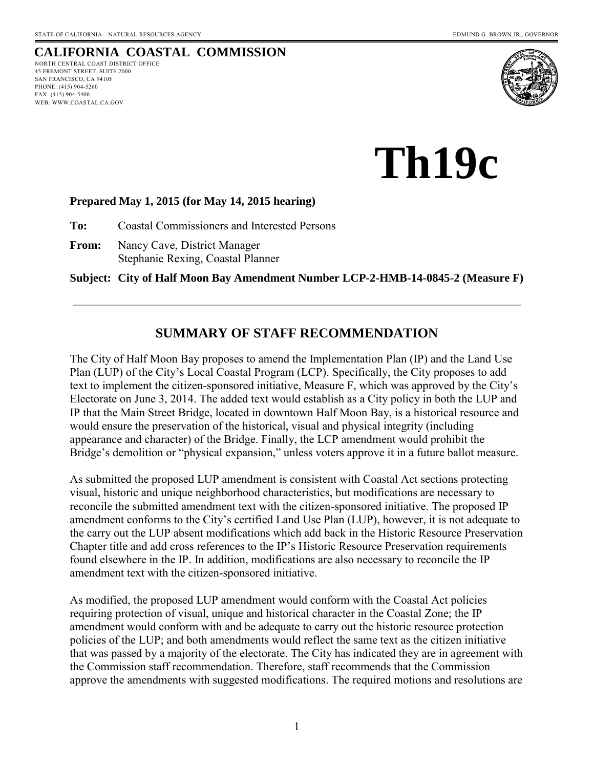PHONE: (415) 904-5260 FAX: (415) 904-5400 WEB: WWW.COASTAL.CA.GOV

#### <span id="page-10-0"></span>**CALIFORNIA COASTAL COMMISSION** NORTH CENTRAL COAST DISTRICT OFFICE 45 FREMONT STREET, SUITE 2000 SAN FRANCISCO, CA 94105



**Th19c** 

#### **Prepared May 1, 2015 (for May 14, 2015 hearing)**

**To:** Coastal Commissioners and Interested Persons

**From:** Nancy Cave, District Manager Stephanie Rexing, Coastal Planner

**Subject: City of Half Moon Bay Amendment Number LCP-2-HMB-14-0845-2 (Measure F)**

# **SUMMARY OF STAFF RECOMMENDATION**

The City of Half Moon Bay proposes to amend the Implementation Plan (IP) and the Land Use Plan (LUP) of the City's Local Coastal Program (LCP). Specifically, the City proposes to add text to implement the citizen-sponsored initiative, Measure F, which was approved by the City's Electorate on June 3, 2014. The added text would establish as a City policy in both the LUP and IP that the Main Street Bridge, located in downtown Half Moon Bay, is a historical resource and would ensure the preservation of the historical, visual and physical integrity (including appearance and character) of the Bridge. Finally, the LCP amendment would prohibit the Bridge's demolition or "physical expansion," unless voters approve it in a future ballot measure.

As submitted the proposed LUP amendment is consistent with Coastal Act sections protecting visual, historic and unique neighborhood characteristics, but modifications are necessary to reconcile the submitted amendment text with the citizen-sponsored initiative. The proposed IP amendment conforms to the City's certified Land Use Plan (LUP), however, it is not adequate to the carry out the LUP absent modifications which add back in the Historic Resource Preservation Chapter title and add cross references to the IP's Historic Resource Preservation requirements found elsewhere in the IP. In addition, modifications are also necessary to reconcile the IP amendment text with the citizen-sponsored initiative.

As modified, the proposed LUP amendment would conform with the Coastal Act policies requiring protection of visual, unique and historical character in the Coastal Zone; the IP amendment would conform with and be adequate to carry out the historic resource protection policies of the LUP; and both amendments would reflect the same text as the citizen initiative that was passed by a majority of the electorate. The City has indicated they are in agreement with the Commission staff recommendation. Therefore, staff recommends that the Commission approve the amendments with suggested modifications. The required motions and resolutions are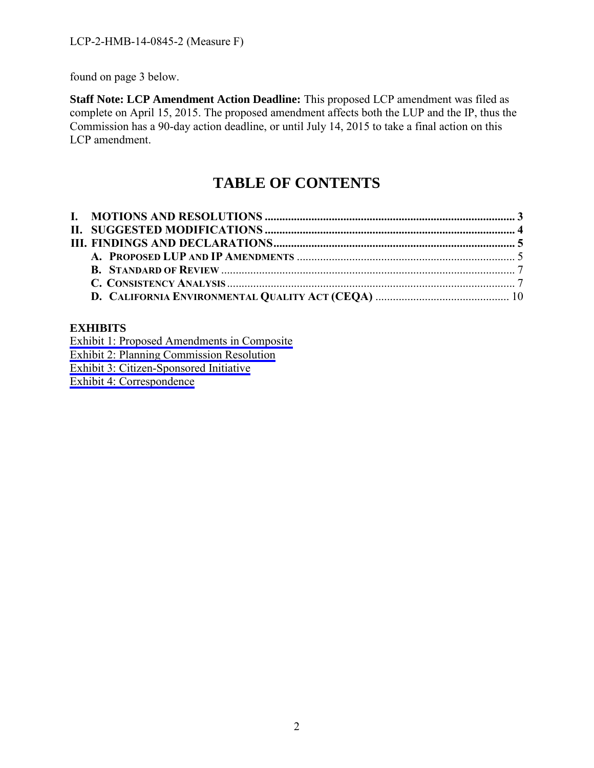found on page 3 below.

**Staff Note: LCP Amendment Action Deadline:** This proposed LCP amendment was filed as complete on April 15, 2015. The proposed amendment affects both the LUP and the IP, thus the Commission has a 90-day action deadline, or until July 14, 2015 to take a final action on this LCP amendment.

# **TABLE OF CONTENTS**

#### **EXHIBITS**

[Exhibit 1: Proposed Amendments in Composite](#page-20-0) 

[Exhibit 2: Planning Commission Resolution](#page-21-0)

[Exhibit 3: Citizen-Sponsored Initiative](#page-23-0)

[Exhibit 4: Correspondence](#page-31-0)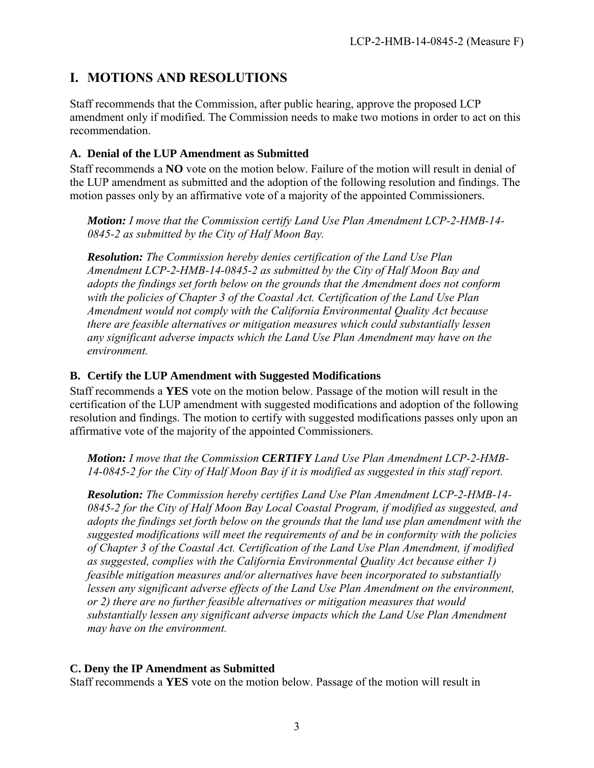# <span id="page-12-0"></span>**I. MOTIONS AND RESOLUTIONS**

Staff recommends that the Commission, after public hearing, approve the proposed LCP amendment only if modified. The Commission needs to make two motions in order to act on this recommendation.

#### **A. Denial of the LUP Amendment as Submitted**

Staff recommends a **NO** vote on the motion below. Failure of the motion will result in denial of the LUP amendment as submitted and the adoption of the following resolution and findings. The motion passes only by an affirmative vote of a majority of the appointed Commissioners.

*Motion: I move that the Commission certify Land Use Plan Amendment LCP-2-HMB-14- 0845-2 as submitted by the City of Half Moon Bay.* 

*Resolution: The Commission hereby denies certification of the Land Use Plan Amendment LCP-2-HMB-14-0845-2 as submitted by the City of Half Moon Bay and adopts the findings set forth below on the grounds that the Amendment does not conform with the policies of Chapter 3 of the Coastal Act. Certification of the Land Use Plan Amendment would not comply with the California Environmental Quality Act because there are feasible alternatives or mitigation measures which could substantially lessen any significant adverse impacts which the Land Use Plan Amendment may have on the environment.* 

#### **B. Certify the LUP Amendment with Suggested Modifications**

Staff recommends a **YES** vote on the motion below. Passage of the motion will result in the certification of the LUP amendment with suggested modifications and adoption of the following resolution and findings. The motion to certify with suggested modifications passes only upon an affirmative vote of the majority of the appointed Commissioners.

*Motion: I move that the Commission CERTIFY Land Use Plan Amendment LCP-2-HMB-14-0845-2 for the City of Half Moon Bay if it is modified as suggested in this staff report.* 

*Resolution: The Commission hereby certifies Land Use Plan Amendment LCP-2-HMB-14- 0845-2 for the City of Half Moon Bay Local Coastal Program, if modified as suggested, and adopts the findings set forth below on the grounds that the land use plan amendment with the suggested modifications will meet the requirements of and be in conformity with the policies of Chapter 3 of the Coastal Act. Certification of the Land Use Plan Amendment, if modified as suggested, complies with the California Environmental Quality Act because either 1) feasible mitigation measures and/or alternatives have been incorporated to substantially lessen any significant adverse effects of the Land Use Plan Amendment on the environment, or 2) there are no further feasible alternatives or mitigation measures that would substantially lessen any significant adverse impacts which the Land Use Plan Amendment may have on the environment.* 

#### **C. Deny the IP Amendment as Submitted**

Staff recommends a **YES** vote on the motion below. Passage of the motion will result in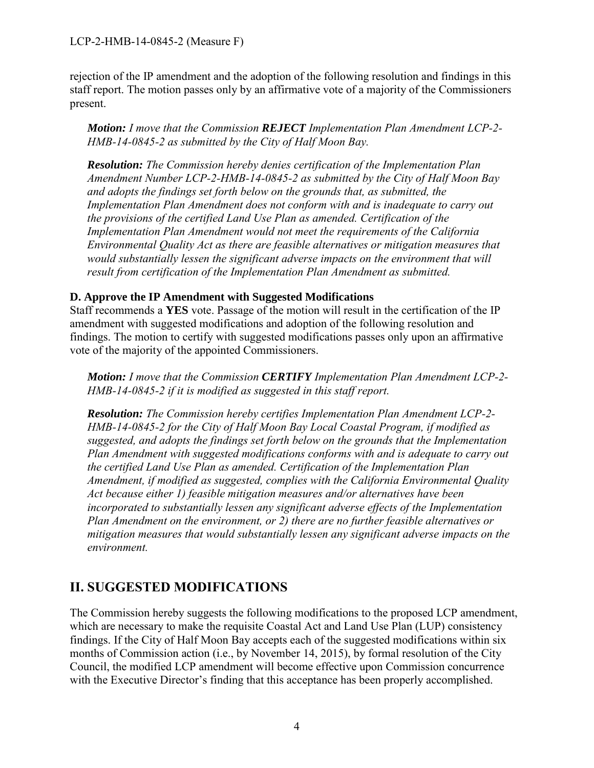LCP-2-HMB-14-0845-2 (Measure F)

rejection of the IP amendment and the adoption of the following resolution and findings in this staff report. The motion passes only by an affirmative vote of a majority of the Commissioners present.

*Motion: I move that the Commission REJECT Implementation Plan Amendment LCP-2- HMB-14-0845-2 as submitted by the City of Half Moon Bay.* 

*Resolution: The Commission hereby denies certification of the Implementation Plan Amendment Number LCP-2-HMB-14-0845-2 as submitted by the City of Half Moon Bay and adopts the findings set forth below on the grounds that, as submitted, the Implementation Plan Amendment does not conform with and is inadequate to carry out the provisions of the certified Land Use Plan as amended. Certification of the Implementation Plan Amendment would not meet the requirements of the California Environmental Quality Act as there are feasible alternatives or mitigation measures that would substantially lessen the significant adverse impacts on the environment that will result from certification of the Implementation Plan Amendment as submitted.* 

#### **D. Approve the IP Amendment with Suggested Modifications**

Staff recommends a **YES** vote. Passage of the motion will result in the certification of the IP amendment with suggested modifications and adoption of the following resolution and findings. The motion to certify with suggested modifications passes only upon an affirmative vote of the majority of the appointed Commissioners.

*Motion: I move that the Commission CERTIFY Implementation Plan Amendment LCP-2- HMB-14-0845-2 if it is modified as suggested in this staff report.* 

*Resolution: The Commission hereby certifies Implementation Plan Amendment LCP-2- HMB-14-0845-2 for the City of Half Moon Bay Local Coastal Program, if modified as suggested, and adopts the findings set forth below on the grounds that the Implementation Plan Amendment with suggested modifications conforms with and is adequate to carry out the certified Land Use Plan as amended. Certification of the Implementation Plan Amendment, if modified as suggested, complies with the California Environmental Quality Act because either 1) feasible mitigation measures and/or alternatives have been incorporated to substantially lessen any significant adverse effects of the Implementation Plan Amendment on the environment, or 2) there are no further feasible alternatives or mitigation measures that would substantially lessen any significant adverse impacts on the environment.* 

# <span id="page-13-0"></span>**II. SUGGESTED MODIFICATIONS**

The Commission hereby suggests the following modifications to the proposed LCP amendment, which are necessary to make the requisite Coastal Act and Land Use Plan (LUP) consistency findings. If the City of Half Moon Bay accepts each of the suggested modifications within six months of Commission action (i.e., by November 14, 2015), by formal resolution of the City Council, the modified LCP amendment will become effective upon Commission concurrence with the Executive Director's finding that this acceptance has been properly accomplished.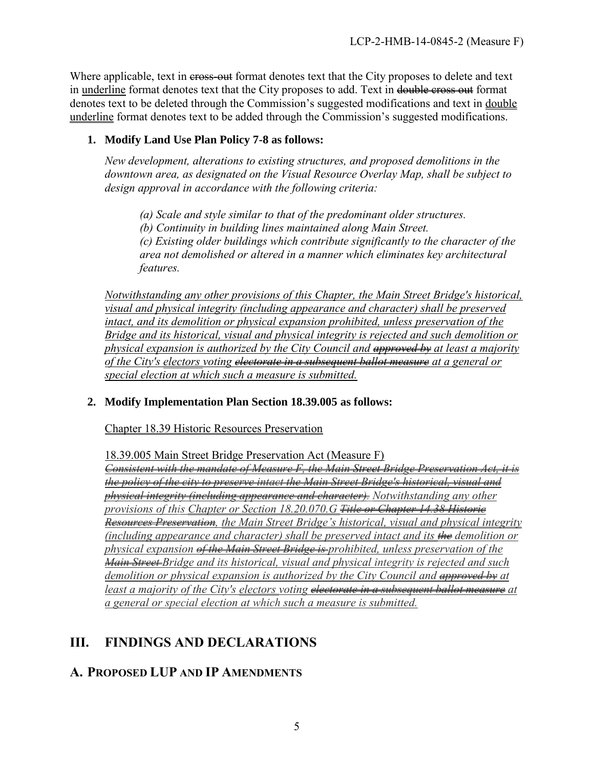<span id="page-14-2"></span>Where applicable, text in cross-out format denotes text that the City proposes to delete and text in underline format denotes text that the City proposes to add. Text in double cross out format denotes text to be deleted through the Commission's suggested modifications and text in double underline format denotes text to be added through the Commission's suggested modifications.

#### **1. Modify Land Use Plan Policy 7-8 as follows:**

*New development, alterations to existing structures, and proposed demolitions in the downtown area, as designated on the Visual Resource Overlay Map, shall be subject to design approval in accordance with the following criteria:* 

*(a) Scale and style similar to that of the predominant older structures. (b) Continuity in building lines maintained along Main Street. (c) Existing older buildings which contribute significantly to the character of the area not demolished or altered in a manner which eliminates key architectural features.* 

*Notwithstanding any other provisions of this Chapter, the Main Street Bridge's historical, visual and physical integrity (including appearance and character) shall be preserved intact, and its demolition or physical expansion prohibited, unless preservation of the Bridge and its historical, visual and physical integrity is rejected and such demolition or physical expansion is authorized by the City Council and approved by at least a majority of the City's electors voting electorate in a subsequent ballot measure at a general or special election at which such a measure is submitted.* 

#### **2. Modify Implementation Plan Section 18.39.005 as follows:**

Chapter 18.39 Historic Resources Preservation

18.39.005 Main Street Bridge Preservation Act (Measure F)

*Consistent with the mandate of Measure F, the Main Street Bridge Preservation Act, it is the policy of the city to preserve intact the Main Street Bridge's historical, visual and physical integrity (including appearance and character). Notwithstanding any other provisions of this Chapter or Section 18.20.070.G Title or Chapter 14.38 Historic Resources Preservation, the Main Street Bridge's historical, visual and physical integrity (including appearance and character) shall be preserved intact and its the demolition or physical expansion of the Main Street Bridge is prohibited, unless preservation of the Main Street Bridge and its historical, visual and physical integrity is rejected and such demolition or physical expansion is authorized by the City Council and approved by at least a majority of the City's electors voting <del>electorate in a subsequent ballot measure</del> at a general or special election at which such a measure is submitted.* 

# <span id="page-14-0"></span>**III. FINDINGS AND DECLARATIONS**

### <span id="page-14-1"></span>**A. PROPOSED LUP AND IP AMENDMENTS**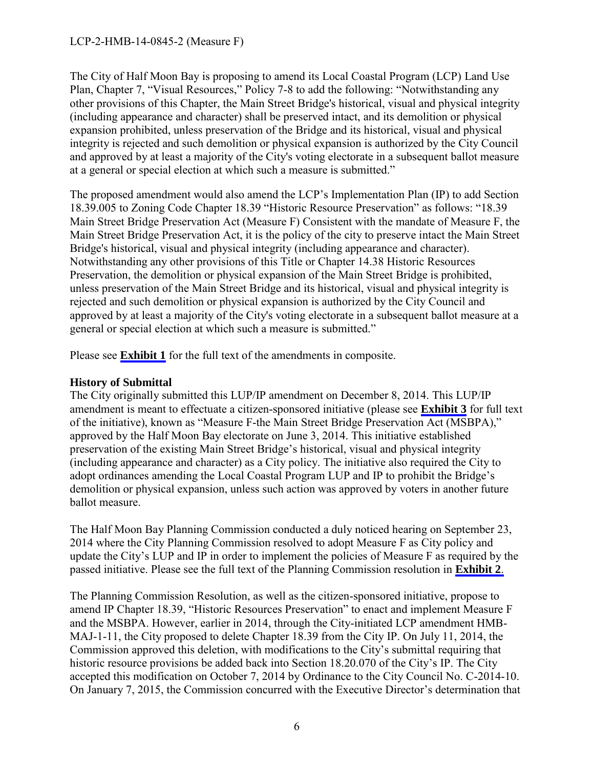#### LCP-2-HMB-14-0845-2 (Measure F)

The City of Half Moon Bay is proposing to amend its Local Coastal Program (LCP) Land Use Plan, Chapter 7, "Visual Resources," Policy 7-8 to add the following: "Notwithstanding any other provisions of this Chapter, the Main Street Bridge's historical, visual and physical integrity (including appearance and character) shall be preserved intact, and its demolition or physical expansion prohibited, unless preservation of the Bridge and its historical, visual and physical integrity is rejected and such demolition or physical expansion is authorized by the City Council and approved by at least a majority of the City's voting electorate in a subsequent ballot measure at a general or special election at which such a measure is submitted."

The proposed amendment would also amend the LCP's Implementation Plan (IP) to add Section 18.39.005 to Zoning Code Chapter 18.39 "Historic Resource Preservation" as follows: "18.39 Main Street Bridge Preservation Act (Measure F) Consistent with the mandate of Measure F, the Main Street Bridge Preservation Act, it is the policy of the city to preserve intact the Main Street Bridge's historical, visual and physical integrity (including appearance and character). Notwithstanding any other provisions of this Title or Chapter 14.38 Historic Resources Preservation, the demolition or physical expansion of the Main Street Bridge is prohibited, unless preservation of the Main Street Bridge and its historical, visual and physical integrity is rejected and such demolition or physical expansion is authorized by the City Council and approved by at least a majority of the City's voting electorate in a subsequent ballot measure at a general or special election at which such a measure is submitted."

Please see **[Exhibit 1](#page-20-0)** for the full text of the amendments in composite.

#### **History of Submittal**

The City originally submitted this LUP/IP amendment on December 8, 2014. This LUP/IP amendment is meant to effectuate a citizen-sponsored initiative (please see **[Exhibit 3](#page-23-0)** for full text of the initiative), known as "Measure F-the Main Street Bridge Preservation Act (MSBPA)," approved by the Half Moon Bay electorate on June 3, 2014. This initiative established preservation of the existing Main Street Bridge's historical, visual and physical integrity (including appearance and character) as a City policy. The initiative also required the City to adopt ordinances amending the Local Coastal Program LUP and IP to prohibit the Bridge's demolition or physical expansion, unless such action was approved by voters in another future ballot measure.

The Half Moon Bay Planning Commission conducted a duly noticed hearing on September 23, 2014 where the City Planning Commission resolved to adopt Measure F as City policy and update the City's LUP and IP in order to implement the policies of Measure F as required by the passed initiative. Please see the full text of the Planning Commission resolution in **[Exhibit 2](#page-21-0)**.

The Planning Commission Resolution, as well as the citizen-sponsored initiative, propose to amend IP Chapter 18.39, "Historic Resources Preservation" to enact and implement Measure F and the MSBPA. However, earlier in 2014, through the City-initiated LCP amendment HMB-MAJ-1-11, the City proposed to delete Chapter 18.39 from the City IP. On July 11, 2014, the Commission approved this deletion, with modifications to the City's submittal requiring that historic resource provisions be added back into Section 18.20.070 of the City's IP. The City accepted this modification on October 7, 2014 by Ordinance to the City Council No. C-2014-10. On January 7, 2015, the Commission concurred with the Executive Director's determination that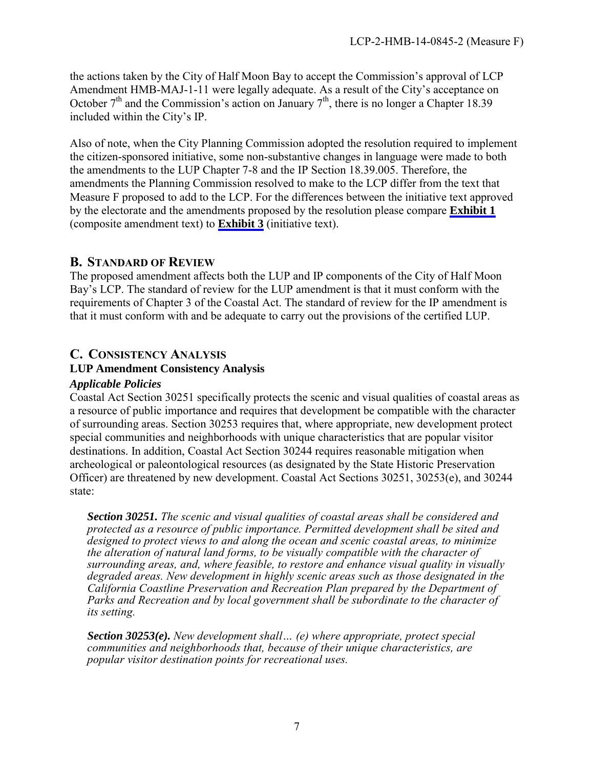the actions taken by the City of Half Moon Bay to accept the Commission's approval of LCP Amendment HMB-MAJ-1-11 were legally adequate. As a result of the City's acceptance on October  $7<sup>th</sup>$  and the Commission's action on January  $7<sup>th</sup>$ , there is no longer a Chapter 18.39 included within the City's IP.

Also of note, when the City Planning Commission adopted the resolution required to implement the citizen-sponsored initiative, some non-substantive changes in language were made to both the amendments to the LUP Chapter 7-8 and the IP Section 18.39.005. Therefore, the amendments the Planning Commission resolved to make to the LCP differ from the text that Measure F proposed to add to the LCP. For the differences between the initiative text approved by the electorate and the amendments proposed by the resolution please compare **[Exhibit 1](#page-20-0)** (composite amendment text) to **[Exhibit 3](#page-23-0)** (initiative text).

#### <span id="page-16-0"></span>**B. STANDARD OF REVIEW**

The proposed amendment affects both the LUP and IP components of the City of Half Moon Bay's LCP. The standard of review for the LUP amendment is that it must conform with the requirements of Chapter 3 of the Coastal Act. The standard of review for the IP amendment is that it must conform with and be adequate to carry out the provisions of the certified LUP.

# <span id="page-16-1"></span>**C. CONSISTENCY ANALYSIS**

#### **LUP Amendment Consistency Analysis**

#### *Applicable Policies*

Coastal Act Section 30251 specifically protects the scenic and visual qualities of coastal areas as a resource of public importance and requires that development be compatible with the character of surrounding areas. Section 30253 requires that, where appropriate, new development protect special communities and neighborhoods with unique characteristics that are popular visitor destinations. In addition, Coastal Act Section 30244 requires reasonable mitigation when archeological or paleontological resources (as designated by the State Historic Preservation Officer) are threatened by new development. Coastal Act Sections 30251, 30253(e), and 30244 state:

*Section 30251. The scenic and visual qualities of coastal areas shall be considered and protected as a resource of public importance. Permitted development shall be sited and designed to protect views to and along the ocean and scenic coastal areas, to minimize the alteration of natural land forms, to be visually compatible with the character of surrounding areas, and, where feasible, to restore and enhance visual quality in visually degraded areas. New development in highly scenic areas such as those designated in the California Coastline Preservation and Recreation Plan prepared by the Department of*  Parks and Recreation and by local government shall be subordinate to the character of *its setting.* 

*Section 30253(e). New development shall… (e) where appropriate, protect special communities and neighborhoods that, because of their unique characteristics, are popular visitor destination points for recreational uses.*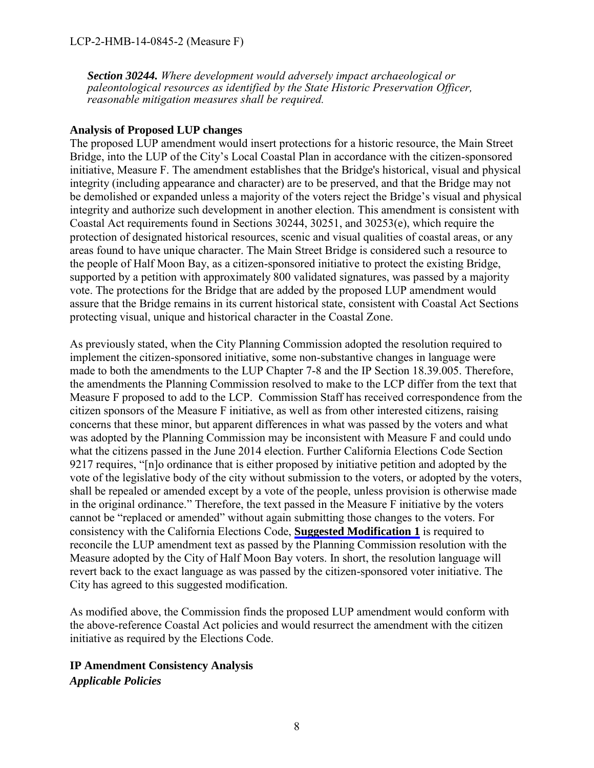*Section 30244. Where development would adversely impact archaeological or paleontological resources as identified by the State Historic Preservation Officer, reasonable mitigation measures shall be required.* 

#### **Analysis of Proposed LUP changes**

The proposed LUP amendment would insert protections for a historic resource, the Main Street Bridge, into the LUP of the City's Local Coastal Plan in accordance with the citizen-sponsored initiative, Measure F. The amendment establishes that the Bridge's historical, visual and physical integrity (including appearance and character) are to be preserved, and that the Bridge may not be demolished or expanded unless a majority of the voters reject the Bridge's visual and physical integrity and authorize such development in another election. This amendment is consistent with Coastal Act requirements found in Sections 30244, 30251, and 30253(e), which require the protection of designated historical resources, scenic and visual qualities of coastal areas, or any areas found to have unique character. The Main Street Bridge is considered such a resource to the people of Half Moon Bay, as a citizen-sponsored initiative to protect the existing Bridge, supported by a petition with approximately 800 validated signatures, was passed by a majority vote. The protections for the Bridge that are added by the proposed LUP amendment would assure that the Bridge remains in its current historical state, consistent with Coastal Act Sections protecting visual, unique and historical character in the Coastal Zone.

As previously stated, when the City Planning Commission adopted the resolution required to implement the citizen-sponsored initiative, some non-substantive changes in language were made to both the amendments to the LUP Chapter 7-8 and the IP Section 18.39.005. Therefore, the amendments the Planning Commission resolved to make to the LCP differ from the text that Measure F proposed to add to the LCP. Commission Staff has received correspondence from the citizen sponsors of the Measure F initiative, as well as from other interested citizens, raising concerns that these minor, but apparent differences in what was passed by the voters and what was adopted by the Planning Commission may be inconsistent with Measure F and could undo what the citizens passed in the June 2014 election. Further California Elections Code Section 9217 requires, "[n]o ordinance that is either proposed by initiative petition and adopted by the vote of the legislative body of the city without submission to the voters, or adopted by the voters, shall be repealed or amended except by a vote of the people, unless provision is otherwise made in the original ordinance." Therefore, the text passed in the Measure F initiative by the voters cannot be "replaced or amended" without again submitting those changes to the voters. For consistency with the California Elections Code, **[Suggested Modification 1](#page-14-2)** is required to reconcile the LUP amendment text as passed by the Planning Commission resolution with the Measure adopted by the City of Half Moon Bay voters. In short, the resolution language will revert back to the exact language as was passed by the citizen-sponsored voter initiative. The City has agreed to this suggested modification.

As modified above, the Commission finds the proposed LUP amendment would conform with the above-reference Coastal Act policies and would resurrect the amendment with the citizen initiative as required by the Elections Code.

#### **IP Amendment Consistency Analysis**

*Applicable Policies*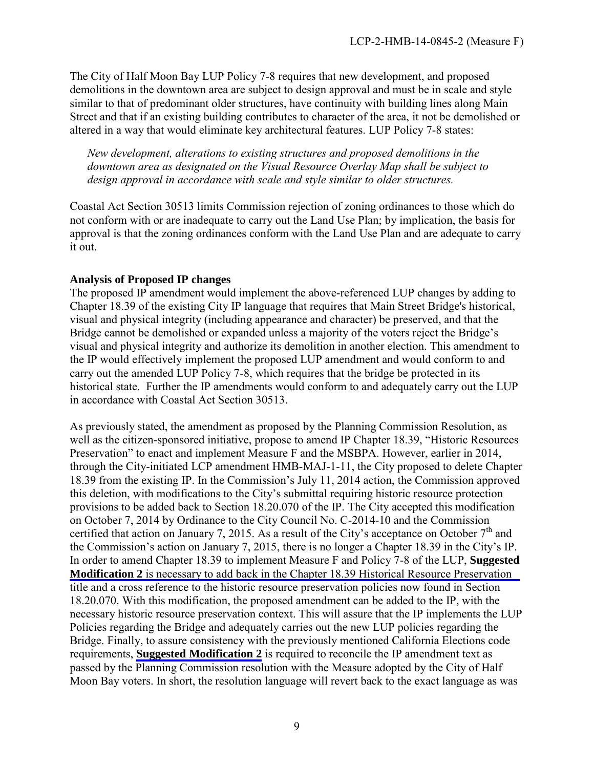The City of Half Moon Bay LUP Policy 7-8 requires that new development, and proposed demolitions in the downtown area are subject to design approval and must be in scale and style similar to that of predominant older structures, have continuity with building lines along Main Street and that if an existing building contributes to character of the area, it not be demolished or altered in a way that would eliminate key architectural features. LUP Policy 7-8 states:

*New development, alterations to existing structures and proposed demolitions in the downtown area as designated on the Visual Resource Overlay Map shall be subject to design approval in accordance with scale and style similar to older structures.*

Coastal Act Section 30513 limits Commission rejection of zoning ordinances to those which do not conform with or are inadequate to carry out the Land Use Plan; by implication, the basis for approval is that the zoning ordinances conform with the Land Use Plan and are adequate to carry it out.

#### **Analysis of Proposed IP changes**

The proposed IP amendment would implement the above-referenced LUP changes by adding to Chapter 18.39 of the existing City IP language that requires that Main Street Bridge's historical, visual and physical integrity (including appearance and character) be preserved, and that the Bridge cannot be demolished or expanded unless a majority of the voters reject the Bridge's visual and physical integrity and authorize its demolition in another election. This amendment to the IP would effectively implement the proposed LUP amendment and would conform to and carry out the amended LUP Policy 7-8, which requires that the bridge be protected in its historical state. Further the IP amendments would conform to and adequately carry out the LUP in accordance with Coastal Act Section 30513.

As previously stated, the amendment as proposed by the Planning Commission Resolution, as well as the citizen-sponsored initiative, propose to amend IP Chapter 18.39, "Historic Resources Preservation" to enact and implement Measure F and the MSBPA. However, earlier in 2014, through the City-initiated LCP amendment HMB-MAJ-1-11, the City proposed to delete Chapter 18.39 from the existing IP. In the Commission's July 11, 2014 action, the Commission approved this deletion, with modifications to the City's submittal requiring historic resource protection provisions to be added back to Section 18.20.070 of the IP. The City accepted this modification on October 7, 2014 by Ordinance to the City Council No. C-2014-10 and the Commission certified that action on January 7, 2015. As a result of the City's acceptance on October  $7<sup>th</sup>$  and the Commission's action on January 7, 2015, there is no longer a Chapter 18.39 in the City's IP. In order to amend Chapter 18.39 to implement Measure F and Policy 7-8 of the LUP, **Suggested Modification 2** [is necessary to add back in the Chapter 18.39 Historical Resource Preservation](#page-14-2)  title and a cross reference to the historic resource preservation policies now found in Section 18.20.070. With this modification, the proposed amendment can be added to the IP, with the necessary historic resource preservation context. This will assure that the IP implements the LUP Policies regarding the Bridge and adequately carries out the new LUP policies regarding the Bridge. Finally, to assure consistency with the previously mentioned California Elections code requirements, **[Suggested Modification 2](#page-14-2)** is required to reconcile the IP amendment text as passed by the Planning Commission resolution with the Measure adopted by the City of Half Moon Bay voters. In short, the resolution language will revert back to the exact language as was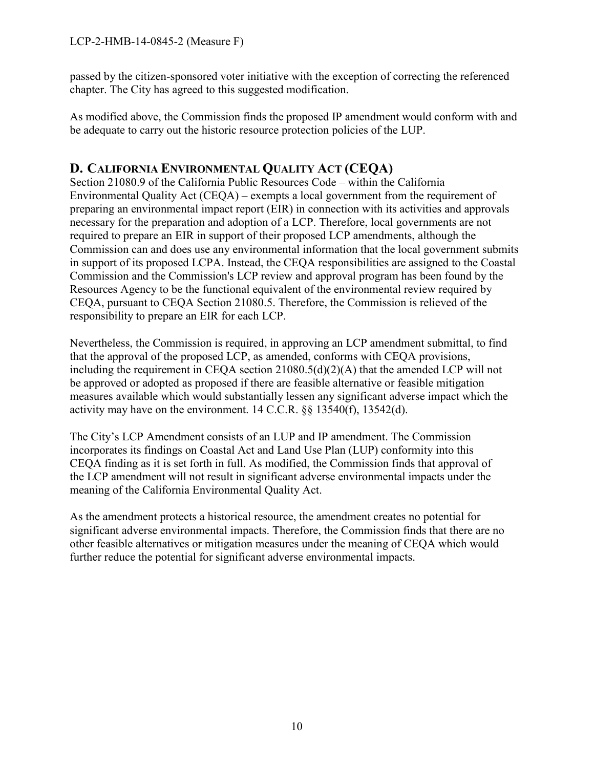passed by the citizen-sponsored voter initiative with the exception of correcting the referenced chapter. The City has agreed to this suggested modification.

As modified above, the Commission finds the proposed IP amendment would conform with and be adequate to carry out the historic resource protection policies of the LUP.

# <span id="page-19-0"></span>**D. CALIFORNIA ENVIRONMENTAL QUALITY ACT (CEQA)**

Section 21080.9 of the California Public Resources Code – within the California Environmental Quality Act (CEQA) – exempts a local government from the requirement of preparing an environmental impact report (EIR) in connection with its activities and approvals necessary for the preparation and adoption of a LCP. Therefore, local governments are not required to prepare an EIR in support of their proposed LCP amendments, although the Commission can and does use any environmental information that the local government submits in support of its proposed LCPA. Instead, the CEQA responsibilities are assigned to the Coastal Commission and the Commission's LCP review and approval program has been found by the Resources Agency to be the functional equivalent of the environmental review required by CEQA, pursuant to CEQA Section 21080.5. Therefore, the Commission is relieved of the responsibility to prepare an EIR for each LCP.

Nevertheless, the Commission is required, in approving an LCP amendment submittal, to find that the approval of the proposed LCP, as amended, conforms with CEQA provisions, including the requirement in CEQA section 21080.5(d)(2)(A) that the amended LCP will not be approved or adopted as proposed if there are feasible alternative or feasible mitigation measures available which would substantially lessen any significant adverse impact which the activity may have on the environment. 14 C.C.R. §§ 13540(f), 13542(d).

The City's LCP Amendment consists of an LUP and IP amendment. The Commission incorporates its findings on Coastal Act and Land Use Plan (LUP) conformity into this CEQA finding as it is set forth in full. As modified, the Commission finds that approval of the LCP amendment will not result in significant adverse environmental impacts under the meaning of the California Environmental Quality Act.

As the amendment protects a historical resource, the amendment creates no potential for significant adverse environmental impacts. Therefore, the Commission finds that there are no other feasible alternatives or mitigation measures under the meaning of CEQA which would further reduce the potential for significant adverse environmental impacts.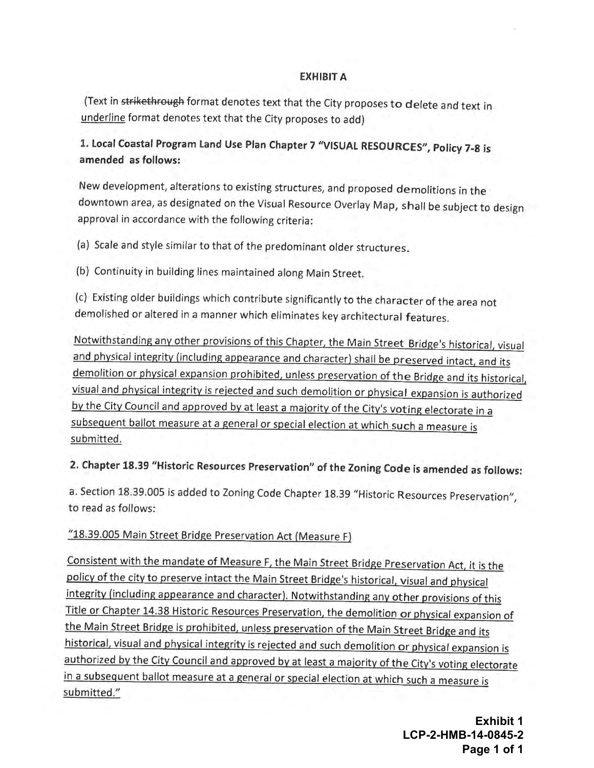#### **EXHIBIT A**

<span id="page-20-0"></span>(Text in strikethrough format denotes text that the City proposes to delete and text in underline format denotes text that the City proposes to add)

1. Local Coastal Program Land Use Plan Chapter 7 "VISUAL RESOURCES", Policy 7-8 is amended as follows:

New development, alterations to existing structures, and proposed demolitions in the downtown area, as designated on the Visual Resource Overlay Map, shall be subject to design approval in accordance with the following criteria:

(a) Scale and style similar to that of the predominant older structures.

(b) Continuity in building lines maintained along Main Street.

(c) Existing older buildings which contribute significantly to the character of the area not demolished or altered in a manner which eliminates key architectural features.

Notwithstanding any other provisions of this Chapter, the Main Street Bridge's historical, visual and physical integrity (including appearance and character) shall be preserved intact, and its demolition or physical expansion prohibited, unless preservation of the Bridge and its historical, visual and physical integrity is rejected and such demolition or physical expansion is authorized by the City Council and approved by at least a majority of the City's voting electorate in a subsequent ballot measure at a general or special election at which such a measure is submitted.

# 2. Chapter 18.39 "Historic Resources Preservation" of the Zoning Code is amended as follows:

a. Section 18.39.005 is added to Zoning Code Chapter 18.39 "Historic Resources Preservation", to read as follows:

#### "18.39.005 Main Street Bridge Preservation Act (Measure F)

Consistent with the mandate of Measure F, the Main Street Bridge Preservation Act, it is the policy of the city to preserve intact the Main Street Bridge's historical, visual and physical integrity (including appearance and character). Notwithstanding any other provisions of this Title or Chapter 14.38 Historic Resources Preservation, the demolition or physical expansion of the Main Street Bridge is prohibited, unless preservation of the Main Street Bridge and its historical, visual and physical integrity is rejected and such demolition or physical expansion is authorized by the City Council and approved by at least a majority of the City's voting electorate in a subsequent ballot measure at a general or special election at which such a measure is submitted."

> **Exhibit 1** LCP-2-HMB-14-0845-2 Page 1 of 1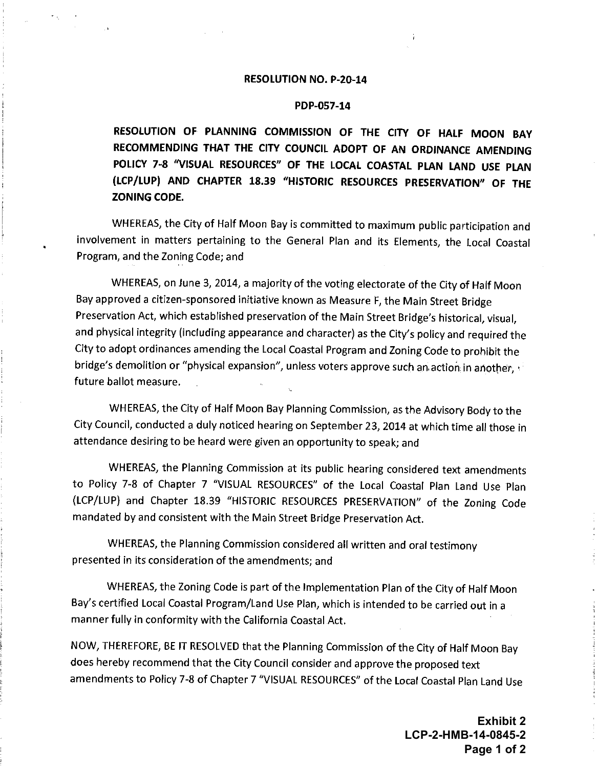#### **RESOLUTION NO. P-20-14**

#### PDP-057-14

<span id="page-21-0"></span>RESOLUTION OF PLANNING COMMISSION OF THE CITY OF HALF MOON BAY RECOMMENDING THAT THE CITY COUNCIL ADOPT OF AN ORDINANCE AMENDING POLICY 7-8 "VISUAL RESOURCES" OF THE LOCAL COASTAL PLAN LAND USE PLAN (LCP/LUP) AND CHAPTER 18.39 "HISTORIC RESOURCES PRESERVATION" OF THE ZONING CODE.

WHEREAS, the City of Half Moon Bay is committed to maximum public participation and involvement in matters pertaining to the General Plan and its Elements, the Local Coastal Program, and the Zoning Code; and

WHEREAS, on June 3, 2014, a majority of the voting electorate of the City of Half Moon Bay approved a citizen-sponsored initiative known as Measure F, the Main Street Bridge Preservation Act, which established preservation of the Main Street Bridge's historical, visual, and physical integrity (including appearance and character) as the City's policy and required the City to adopt ordinances amending the Local Coastal Program and Zoning Code to prohibit the bridge's demolition or "physical expansion", unless voters approve such an action in another, future ballot measure.

WHEREAS, the City of Half Moon Bay Planning Commission, as the Advisory Body to the City Council, conducted a duly noticed hearing on September 23, 2014 at which time all those in attendance desiring to be heard were given an opportunity to speak; and

WHEREAS, the Planning Commission at its public hearing considered text amendments to Policy 7-8 of Chapter 7 "VISUAL RESOURCES" of the Local Coastal Plan Land Use Plan (LCP/LUP) and Chapter 18.39 "HISTORIC RESOURCES PRESERVATION" of the Zoning Code mandated by and consistent with the Main Street Bridge Preservation Act.

WHEREAS, the Planning Commission considered all written and oral testimony presented in its consideration of the amendments; and

WHEREAS, the Zoning Code is part of the Implementation Plan of the City of Half Moon Bay's certified Local Coastal Program/Land Use Plan, which is intended to be carried out in a manner fully in conformity with the California Coastal Act.

NOW, THEREFORE, BE IT RESOLVED that the Planning Commission of the City of Half Moon Bay does hereby recommend that the City Council consider and approve the proposed text amendments to Policy 7-8 of Chapter 7 "VISUAL RESOURCES" of the Local Coastal Plan Land Use

> **Exhibit 2** LCP-2-HMB-14-0845-2 Page 1 of 2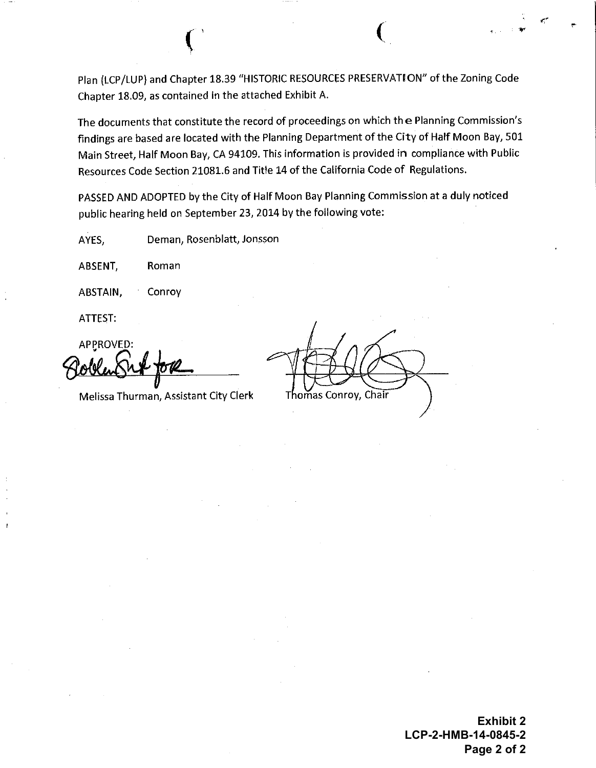Plan (LCP/LUP) and Chapter 18.39 "HISTORIC RESOURCES PRESERVATION" of the Zoning Code Chapter 18.09, as contained in the attached Exhibit A.

The documents that constitute the record of proceedings on which the Planning Commission's findings are based are located with the Planning Department of the City of Half Moon Bay, 501 Main Street, Half Moon Bay, CA 94109. This information is provided in compliance with Public Resources Code Section 21081.6 and Title 14 of the California Code of Regulations.

PASSED AND ADOPTED by the City of Half Moon Bay Planning Commission at a duly noticed public hearing held on September 23, 2014 by the following vote:

Deman, Rosenblatt, Jonsson AYES.

ABSENT, Roman

Conroy ABSTAIN,

ATTEST:

**APPROVED:** 

Melissa Thurman, Assistant City Clerk

Thomas Conrov. Chair

**Exhibit 2** LCP-2-HMB-14-0845-2 Page 2 of 2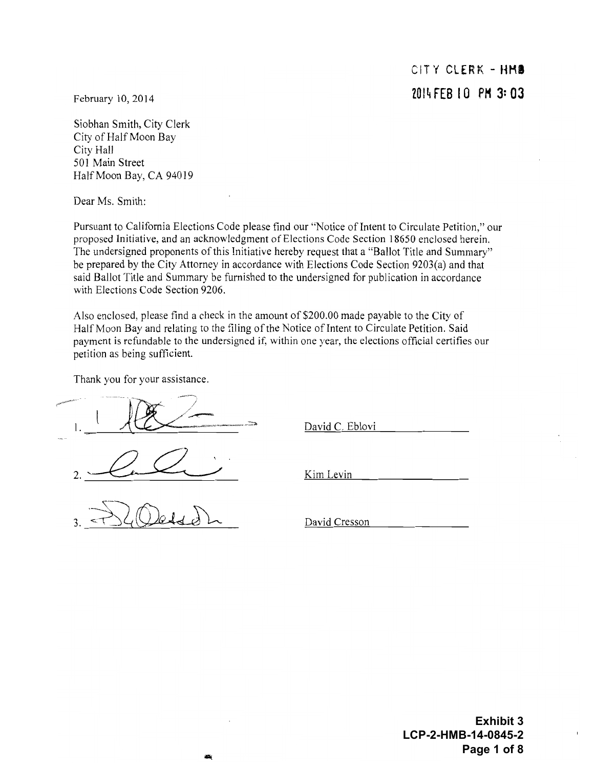CITY CLERK - HMB 2014 FEB 10 PM 3:03

<span id="page-23-0"></span>February 10, 2014

Siobhan Smith, City Clerk City of Half Moon Bay City Hall 501 Main Street Half Moon Bay, CA 94019

Dear Ms. Smith:

Pursuant to California Elections Code please find our "Notice of Intent to Circulate Petition," our proposed Initiative, and an acknowledgment of Elections Code Section 18650 enclosed herein. The undersigned proponents of this Initiative hereby request that a "Ballot Title and Summary" be prepared by the City Attorney in accordance with Elections Code Section 9203(a) and that said Ballot Title and Summary be furnished to the undersigned for publication in accordance with Elections Code Section 9206.

Also enclosed, please find a check in the amount of \$200.00 made payable to the City of Half Moon Bay and relating to the filing of the Notice of Intent to Circulate Petition. Said payment is refundable to the undersigned if, within one year, the elections official certifies our petition as being sufficient.

Thank you for your assistance.

David C. Eblovi

Kim Levin

David Cresson

**Exhibit 3** LCP-2-HMB-14-0845-2 Page 1 of 8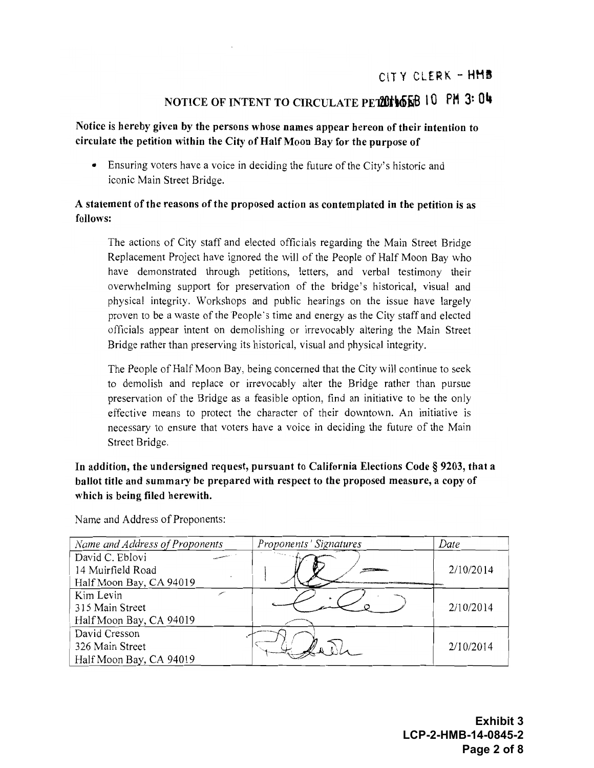#### CITY CLERK - HMB

# NOTICE OF INTENT TO CIRCULATE PETTHONS 10 PM 3: 04

#### Notice is hereby given by the persons whose names appear hereon of their intention to circulate the petition within the City of Half Moon Bay for the purpose of

• Ensuring voters have a voice in deciding the future of the City's historic and iconic Main Street Bridge.

#### A statement of the reasons of the proposed action as contemplated in the petition is as follows:

The actions of City staff and elected officials regarding the Main Street Bridge Replacement Project have ignored the will of the People of Half Moon Bay who have demonstrated through petitions, letters, and verbal testimony their overwhelming support for preservation of the bridge's historical, visual and physical integrity. Workshops and public hearings on the issue have largely proven to be a waste of the People's time and energy as the City staff and elected officials appear intent on demolishing or irrevocably altering the Main Street Bridge rather than preserving its historical, visual and physical integrity.

The People of Half Moon Bay, being concerned that the City will continue to seek to demolish and replace or irrevocably alter the Bridge rather than pursue preservation of the Bridge as a feasible option, find an initiative to be the only effective means to protect the character of their downtown. An initiative is necessary to ensure that voters have a voice in deciding the future of the Main Street Bridge.

In addition, the undersigned request, pursuant to California Elections Code § 9203, that a ballot title and summary be prepared with respect to the proposed measure, a copy of which is being filed herewith.

Name and Address of Proponents:

| Name and Address of Proponents | Proponents' Signatures | Date      |
|--------------------------------|------------------------|-----------|
| David C. Eblovi                |                        |           |
| 14 Muirfield Road              |                        | 2/10/2014 |
| Half Moon Bay, CA 94019        |                        |           |
| Kim Levin                      |                        |           |
| 315 Main Street                |                        | 2/10/2014 |
| Half Moon Bay, CA 94019        |                        |           |
| David Cresson                  |                        |           |
| 326 Main Street                |                        | 2/10/2014 |
| Half Moon Bay, CA 94019        |                        |           |

Exhibit 3 LCP-2-HMB-14-0845-2 Page 2 of 8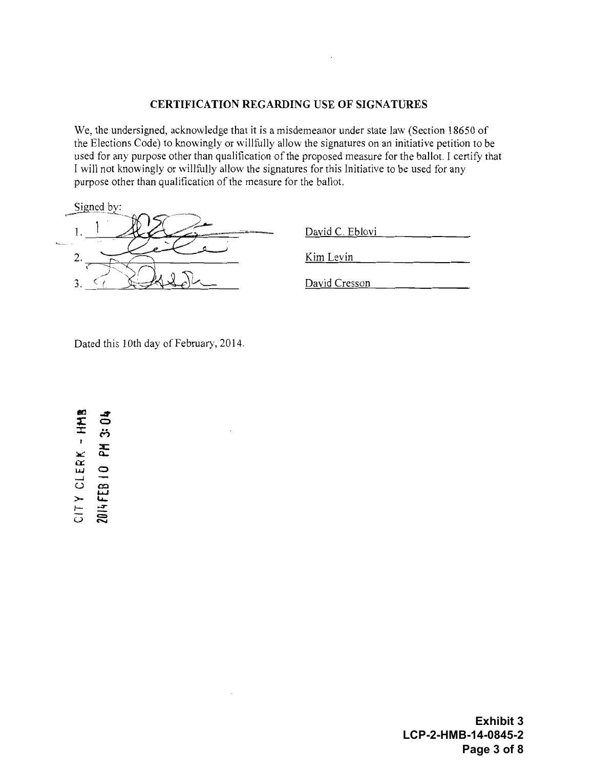#### **CERTIFICATION REGARDING USE OF SIGNATURES**

We, the undersigned, acknowledge that it is a misdemeanor under state law (Section 18650 of the Elections Code) to knowingly or willfully allow the signatures on an initiative petition to be used for any purpose other than qualification of the proposed measure for the ballot. I certify that I will not knowingly or willfully allow the signatures for this Initiative to be used for any purpose other than qualification of the measure for the ballot.

|          | Signed by:<br><b>Subscribed</b> |
|----------|---------------------------------|
|          | <b>ASTRALIAN</b><br>--          |
| hours of | . .                             |
|          |                                 |

| David C. Eblovi |  |  |
|-----------------|--|--|
|                 |  |  |
| Kim Levin       |  |  |

David Cresson

Dated this 10th day of February, 2014.

CITY CLERK - HMB 2014 FEB 10 PM 3:04

> **Exhibit 3** LCP-2-HMB-14-0845-2 Page 3 of 8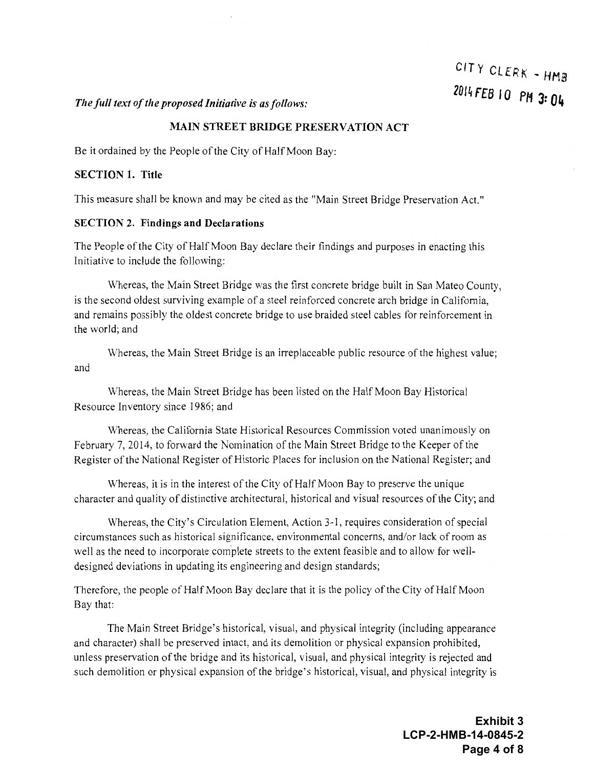# CITY CLERK - HMB 2014 FEB 10 PM 3: 04

#### The full text of the proposed Initiative is as follows:

#### **MAIN STREET BRIDGE PRESERVATION ACT**

Be it ordained by the People of the City of Half Moon Bay:

#### **SECTION 1. Title**

This measure shall be known and may be cited as the "Main Street Bridge Preservation Act."

#### **SECTION 2. Findings and Declarations**

The People of the City of Half Moon Bay declare their findings and purposes in enacting this Initiative to include the following:

Whereas, the Main Street Bridge was the first concrete bridge built in San Mateo County, is the second oldest surviving example of a steel reinforced concrete arch bridge in California. and remains possibly the oldest concrete bridge to use braided steel cables for reinforcement in the world: and

Whereas, the Main Street Bridge is an irreplaceable public resource of the highest value; and

Whereas, the Main Street Bridge has been listed on the Half Moon Bay Historical Resource Inventory since 1986; and

Whereas, the California State Historical Resources Commission voted unanimously on February 7, 2014, to forward the Nomination of the Main Street Bridge to the Keeper of the Register of the National Register of Historic Places for inclusion on the National Register; and

Whereas, it is in the interest of the City of Half Moon Bay to preserve the unique character and quality of distinctive architectural, historical and visual resources of the City; and

Whereas, the City's Circulation Element, Action 3-1, requires consideration of special circumstances such as historical significance, environmental concerns, and/or lack of room as well as the need to incorporate complete streets to the extent feasible and to allow for welldesigned deviations in updating its engineering and design standards;

Therefore, the people of Half Moon Bay declare that it is the policy of the City of Half Moon Bay that:

The Main Street Bridge's historical, visual, and physical integrity (including appearance and character) shall be preserved intact, and its demolition or physical expansion prohibited, unless preservation of the bridge and its historical, visual, and physical integrity is rejected and such demolition or physical expansion of the bridge's historical, visual, and physical integrity is

> **Exhibit 3** LCP-2-HMB-14-0845-2 Page 4 of 8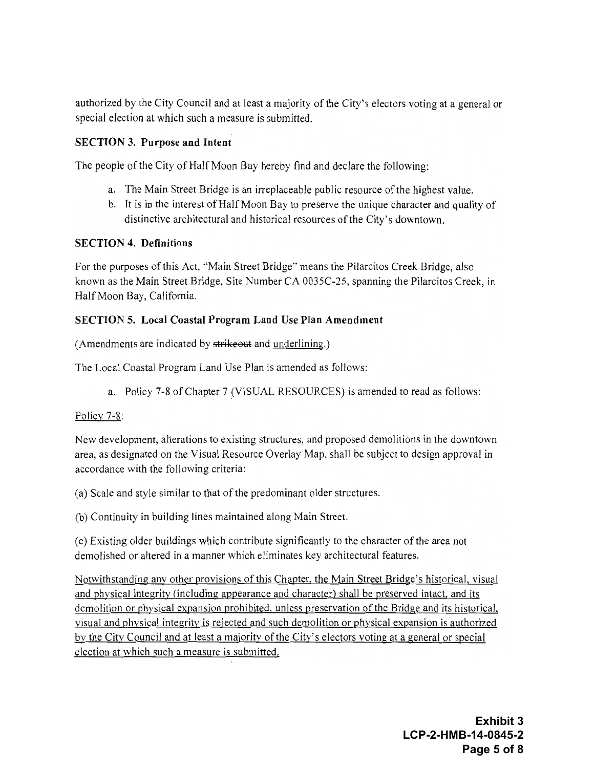authorized by the City Council and at least a majority of the City's electors voting at a general or special election at which such a measure is submitted.

#### **SECTION 3. Purpose and Intent**

The people of the City of Half Moon Bay hereby find and declare the following:

- a. The Main Street Bridge is an irreplaceable public resource of the highest value.
- b. It is in the interest of Half Moon Bay to preserve the unique character and quality of distinctive architectural and historical resources of the City's downtown.

#### **SECTION 4. Definitions**

For the purposes of this Act, "Main Street Bridge" means the Pilarcitos Creek Bridge, also known as the Main Street Bridge, Site Number CA 0035C-25, spanning the Pilarcitos Creek, in Half Moon Bay, California.

#### **SECTION 5. Local Coastal Program Land Use Plan Amendment**

(Amendments are indicated by strikeout and underlining.)

The Local Coastal Program Land Use Plan is amended as follows:

a. Policy 7-8 of Chapter 7 (VISUAL RESOURCES) is amended to read as follows:

#### Policy  $7-8$ :

New development, alterations to existing structures, and proposed demolitions in the downtown area, as designated on the Visual Resource Overlay Map, shall be subject to design approval in accordance with the following criteria:

(a) Scale and style similar to that of the predominant older structures.

(b) Continuity in building lines maintained along Main Street.

(c) Existing older buildings which contribute significantly to the character of the area not demolished or altered in a manner which eliminates key architectural features.

Notwithstanding any other provisions of this Chapter, the Main Street Bridge's historical, visual and physical integrity (including appearance and character) shall be preserved intact, and its demolition or physical expansion prohibited, unless preservation of the Bridge and its historical, visual and physical integrity is rejected and such demolition or physical expansion is authorized by the City Council and at least a majority of the City's electors voting at a general or special election at which such a measure is submitted.

> Exhibit 3 LCP-2-HMB-14-0845-2 Page 5 of 8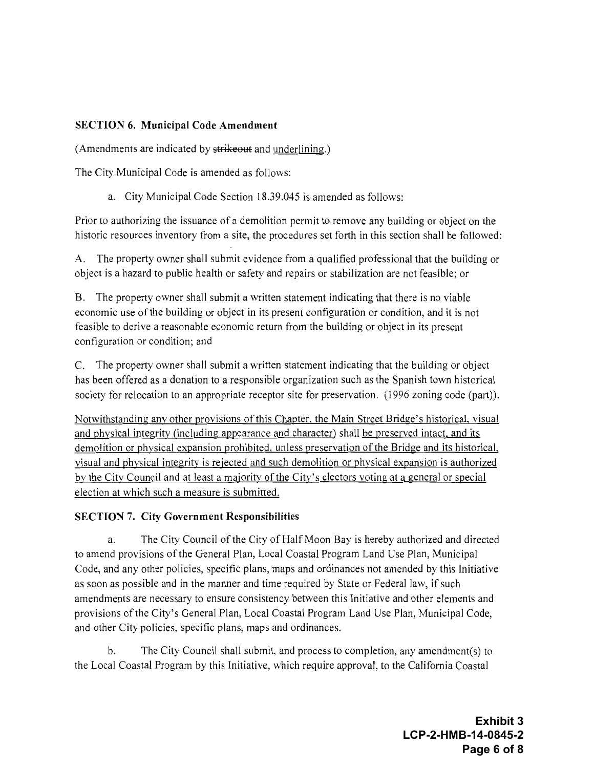#### **SECTION 6. Municipal Code Amendment**

(Amendments are indicated by strikeout and underlining.)

The City Municipal Code is amended as follows:

a. City Municipal Code Section 18.39.045 is amended as follows:

Prior to authorizing the issuance of a demolition permit to remove any building or object on the historic resources inventory from a site, the procedures set forth in this section shall be followed:

A. The property owner shall submit evidence from a qualified professional that the building or object is a hazard to public health or safety and repairs or stabilization are not feasible; or

B. The property owner shall submit a written statement indicating that there is no viable economic use of the building or object in its present configuration or condition, and it is not feasible to derive a reasonable economic return from the building or object in its present configuration or condition; and

C. The property owner shall submit a written statement indicating that the building or object has been offered as a donation to a responsible organization such as the Spanish town historical society for relocation to an appropriate receptor site for preservation. (1996 zoning code (part)).

Notwithstanding any other provisions of this Chapter, the Main Street Bridge's historical, visual and physical integrity (including appearance and character) shall be preserved intact, and its demolition or physical expansion prohibited, unless preservation of the Bridge and its historical, visual and physical integrity is rejected and such demolition or physical expansion is authorized by the City Council and at least a majority of the City's electors voting at a general or special election at which such a measure is submitted.

#### **SECTION 7. City Government Responsibilities**

The City Council of the City of Half Moon Bay is hereby authorized and directed a. to amend provisions of the General Plan, Local Coastal Program Land Use Plan, Municipal Code, and any other policies, specific plans, maps and ordinances not amended by this Initiative as soon as possible and in the manner and time required by State or Federal law, if such amendments are necessary to ensure consistency between this Initiative and other elements and provisions of the City's General Plan, Local Coastal Program Land Use Plan, Municipal Code, and other City policies, specific plans, maps and ordinances.

The City Council shall submit, and process to completion, any amendment(s) to  $<sub>b</sub>$ </sub> the Local Coastal Program by this Initiative, which require approval, to the California Coastal

> **Exhibit 3** LCP-2-HMB-14-0845-2 Page 6 of 8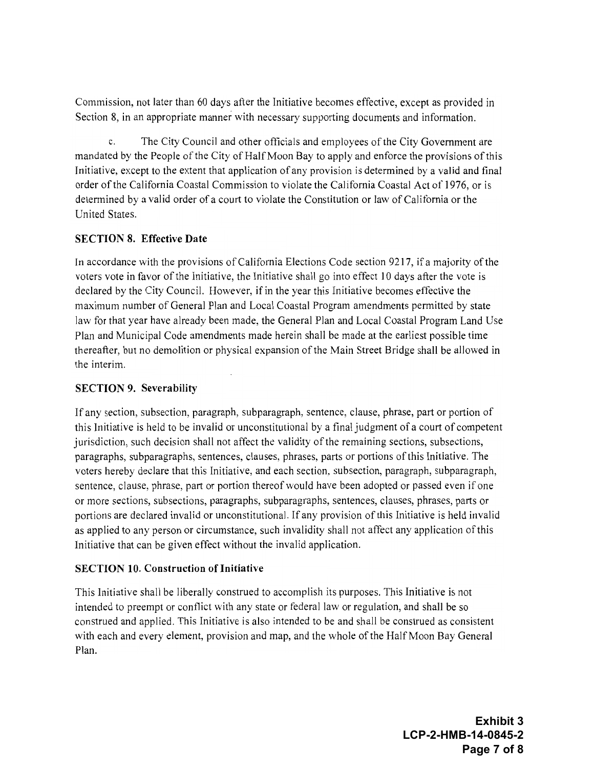Commission, not later than 60 days after the Initiative becomes effective, except as provided in Section 8, in an appropriate manner with necessary supporting documents and information.

The City Council and other officials and employees of the City Government are mandated by the People of the City of Half Moon Bay to apply and enforce the provisions of this Initiative, except to the extent that application of any provision is determined by a valid and final order of the California Coastal Commission to violate the California Coastal Act of 1976, or is determined by a valid order of a court to violate the Constitution or law of California or the United States.

#### **SECTION 8. Effective Date**

In accordance with the provisions of California Elections Code section 9217, if a majority of the voters vote in favor of the Initiative, the Initiative shall go into effect 10 days after the vote is declared by the City Council. However, if in the year this Initiative becomes effective the maximum number of General Plan and Local Coastal Program amendments permitted by state law for that year have already been made, the General Plan and Local Coastal Program Land Use Plan and Municipal Code amendments made herein shall be made at the earliest possible time thereafter, but no demolition or physical expansion of the Main Street Bridge shall be allowed in the interim.

#### **SECTION 9. Severability**

If any section, subsection, paragraph, subparagraph, sentence, clause, phrase, part or portion of this Initiative is held to be invalid or unconstitutional by a final judgment of a court of competent jurisdiction, such decision shall not affect the validity of the remaining sections, subsections, paragraphs, subparagraphs, sentences, clauses, phrases, parts or portions of this Initiative. The voters hereby declare that this Initiative, and each section, subsection, paragraph, subparagraph, sentence, clause, phrase, part or portion thereof would have been adopted or passed even if one or more sections, subsections, paragraphs, subparagraphs, sentences, clauses, phrases, parts or portions are declared invalid or unconstitutional. If any provision of this Initiative is held invalid as applied to any person or circumstance, such invalidity shall not affect any application of this Initiative that can be given effect without the invalid application.

#### **SECTION 10. Construction of Initiative**

This Initiative shall be liberally construed to accomplish its purposes. This Initiative is not intended to preempt or conflict with any state or federal law or regulation, and shall be so construed and applied. This Initiative is also intended to be and shall be construed as consistent with each and every element, provision and map, and the whole of the Half Moon Bay General Plan.

> Exhibit 3 LCP-2-HMB-14-0845-2 Page 7 of 8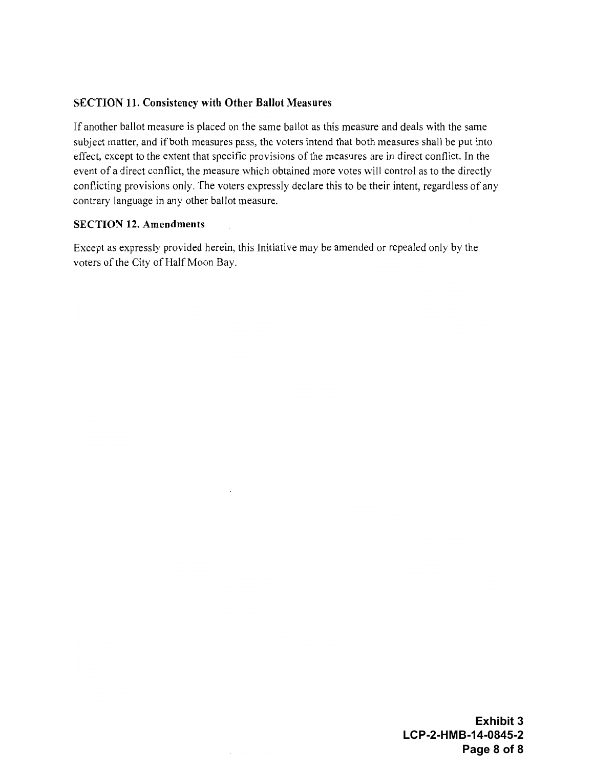#### **SECTION 11. Consistency with Other Ballot Measures**

If another ballot measure is placed on the same ballot as this measure and deals with the same subject matter, and if both measures pass, the voters intend that both measures shall be put into effect, except to the extent that specific provisions of the measures are in direct conflict. In the event of a direct conflict, the measure which obtained more votes will control as to the directly conflicting provisions only. The voters expressly declare this to be their intent, regardless of any contrary language in any other ballot measure.

#### **SECTION 12. Amendments**

Except as expressly provided herein, this Initiative may be amended or repealed only by the voters of the City of Half Moon Bay.

> **Exhibit 3** LCP-2-HMB-14-0845-2 Page 8 of 8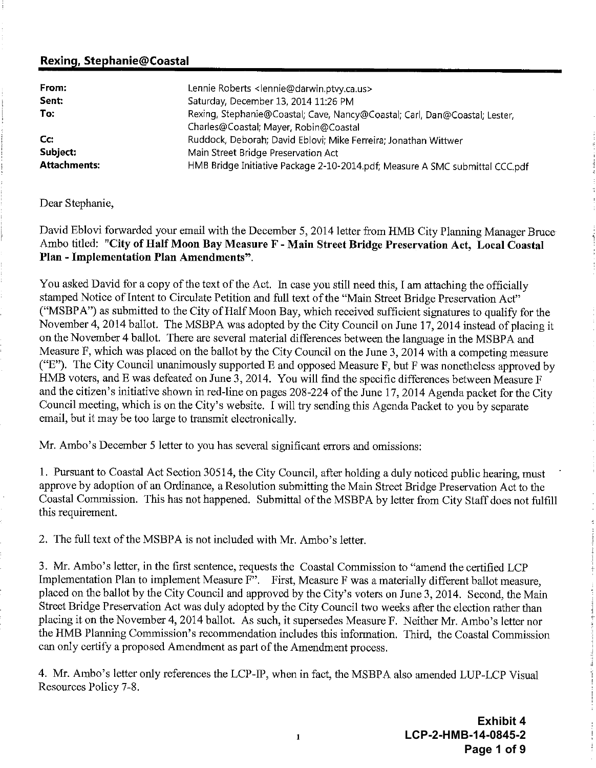#### <span id="page-31-0"></span>Rexing, Stephanie@Coastal

| From:               | Lennie Roberts <lennie@darwin.ptvy.ca.us></lennie@darwin.ptvy.ca.us>         |
|---------------------|------------------------------------------------------------------------------|
| Sent:               | Saturday, December 13, 2014 11:26 PM                                         |
| To:                 | Rexing, Stephanie@Coastal; Cave, Nancy@Coastal; Carl, Dan@Coastal; Lester,   |
|                     | Charles@Coastal; Mayer, Robin@Coastal                                        |
| Cc.                 | Ruddock, Deborah; David Eblovi; Mike Ferreira; Jonathan Wittwer              |
| Subject:            | Main Street Bridge Preservation Act                                          |
| <b>Attachments:</b> | HMB Bridge Initiative Package 2-10-2014 pdf; Measure A SMC submittal CCC.pdf |

Dear Stephanie.

David Eblovi forwarded your email with the December 5, 2014 letter from HMB City Planning Manager Bruce Ambo titled: "City of Half Moon Bay Measure F - Main Street Bridge Preservation Act, Local Coastal Plan - Implementation Plan Amendments".

You asked David for a copy of the text of the Act. In case you still need this, I am attaching the officially stamped Notice of Intent to Circulate Petition and full text of the "Main Street Bridge Preservation Act" ("MSBPA") as submitted to the City of Half Moon Bay, which received sufficient signatures to qualify for the November 4, 2014 ballot. The MSBPA was adopted by the City Council on June 17, 2014 instead of placing it on the November 4 ballot. There are several material differences between the language in the MSBPA and Measure F, which was placed on the ballot by the City Council on the June 3, 2014 with a competing measure ("E"). The City Council unanimously supported E and opposed Measure F, but F was nonetheless approved by HMB voters, and E was defeated on June 3, 2014. You will find the specific differences between Measure F and the citizen's initiative shown in red-line on pages 208-224 of the June 17, 2014 Agenda packet for the City Council meeting, which is on the City's website. I will try sending this Agenda Packet to you by separate email, but it may be too large to transmit electronically.

Mr. Ambo's December 5 letter to you has several significant errors and omissions:

1. Pursuant to Coastal Act Section 30514, the City Council, after holding a duly noticed public hearing, must approve by adoption of an Ordinance, a Resolution submitting the Main Street Bridge Preservation Act to the Coastal Commission. This has not happened. Submittal of the MSBPA by letter from City Staff does not fulfill this requirement.

2. The full text of the MSBPA is not included with Mr. Ambo's letter.

3. Mr. Ambo's letter, in the first sentence, requests the Coastal Commission to "amend the certified LCP Implementation Plan to implement Measure F<sup>3</sup>. First, Measure F was a materially different ballot measure, placed on the ballot by the City Council and approved by the City's voters on June 3, 2014. Second, the Main Street Bridge Preservation Act was duly adopted by the City Council two weeks after the election rather than placing it on the November 4, 2014 ballot. As such, it supersedes Measure F. Neither Mr. Ambo's letter nor the HMB Planning Commission's recommendation includes this information. Third, the Coastal Commission can only certify a proposed Amendment as part of the Amendment process.

4. Mr. Ambo's letter only references the LCP-IP, when in fact, the MSBPA also amended LUP-LCP Visual Resources Policy 7-8.

> **Exhibit 4** LCP-2-HMB-14-0845-2 Page 1 of 9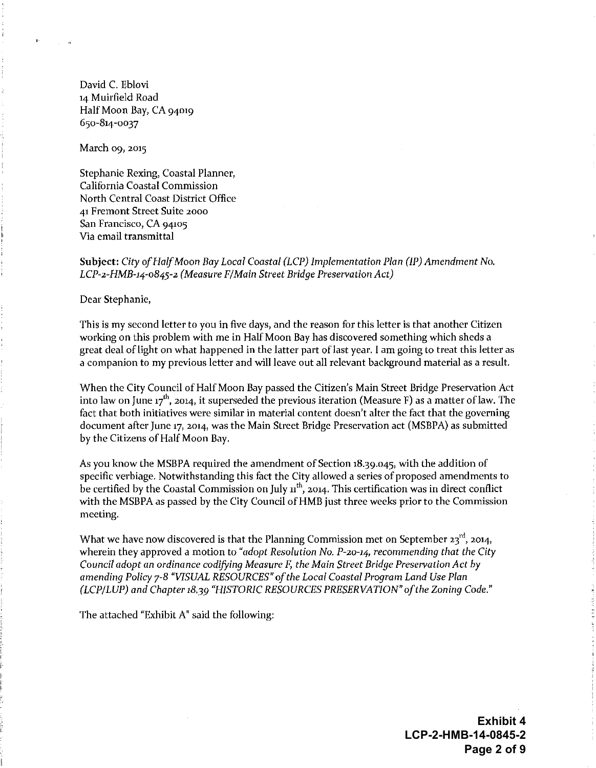David C. Eblovi 14 Muirfield Road Half Moon Bay, CA 94019 650-814-0037

March 09, 2015

Stephanie Rexing, Coastal Planner, California Coastal Commission North Central Coast District Office 41 Fremont Street Suite 2000 San Francisco, CA 94105 Via email transmittal

#### Subject: City of Half Moon Bay Local Coastal (LCP) Implementation Plan (IP) Amendment No. LCP-2-HMB-14-0845-2 (Measure F/Main Street Bridge Preservation Act)

Dear Stephanie,

This is my second letter to you in five days, and the reason for this letter is that another Citizen working on this problem with me in Half Moon Bay has discovered something which sheds a great deal of light on what happened in the latter part of last year. I am going to treat this letter as a companion to my previous letter and will leave out all relevant background material as a result.

When the City Council of Half Moon Bay passed the Citizen's Main Street Bridge Preservation Act into law on June 17<sup>th</sup>, 2014, it superseded the previous iteration (Measure F) as a matter of law. The fact that both initiatives were similar in material content doesn't alter the fact that the governing document after June 17, 2014, was the Main Street Bridge Preservation act (MSBPA) as submitted by the Citizens of Half Moon Bay.

As you know the MSBPA required the amendment of Section 18.39.045, with the addition of specific verbiage. Notwithstanding this fact the City allowed a series of proposed amendments to be certified by the Coastal Commission on July  $n^{th}$ , 2014. This certification was in direct conflict with the MSBPA as passed by the City Council of HMB just three weeks prior to the Commission meeting.

What we have now discovered is that the Planning Commission met on September  $23^{\text{rd}}$ , 2014, wherein they approved a motion to "adopt Resolution No.  $P$ -20-14, recommending that the City Council adopt an ordinance codifying Measure F, the Main Street Bridge Preservation Act by amending Policy 7-8 "VISUAL RESOURCES" of the Local Coastal Program Land Use Plan (LCP/LUP) and Chapter 18.39 "HISTORIC RESOURCES PRESERVATION" of the Zoning Code."

The attached "Exhibit A" said the following:

**Exhibit 4** LCP-2-HMB-14-0845-2 Page 2 of 9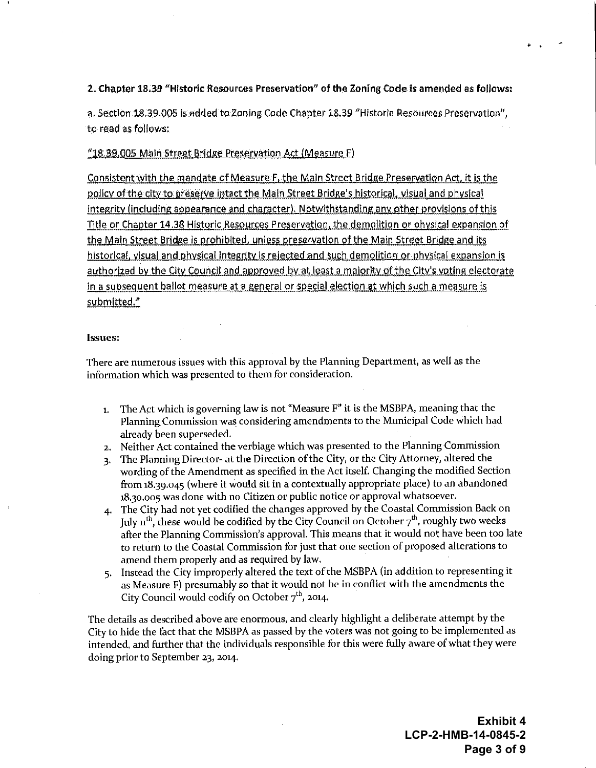#### 2. Chapter 18.39 "Historic Resources Preservation" of the Zoning Code is amended as follows:

a. Section 18.39.005 is added to Zoning Code Chapter 18.39 "Historic Resources Preservation", to read as follows:

#### "18.39.005 Main Street Bridge Preservation Act (Measure F)

Consistent with the mandate of Measure F, the Main Street Bridge Preservation Act, it is the policy of the city to preserve intact the Main Street Bridge's historical, visual and physical integrity (including appearance and character). Notwithstanding any other provisions of this Title or Chapter 14.38 Historic Resources Preservation, the demolition or physical expansion of the Main Street Bridge is prohibited, unless preservation of the Main Street Bridge and its historical, visual and physical integrity is rejected and such demolition or physical expansion is authorized by the City Council and approved by at least a majority of the City's voting electorate In a subsequent ballot measure at a general or special election at which such a measure is submitted."

#### **Issues:**

There are numerous issues with this approval by the Planning Department, as well as the information which was presented to them for consideration.

- The Act which is governing law is not "Measure F" it is the MSBPA, meaning that the  $\mathbf{1}$ . Planning Commission was considering amendments to the Municipal Code which had already been superseded.
- 2. Neither Act contained the verbiage which was presented to the Planning Commission
- The Planning Director- at the Direction of the City, or the City Attorney, altered the  $\mathbf{3}$ wording of the Amendment as specified in the Act itself. Changing the modified Section from 18.39.045 (where it would sit in a contextually appropriate place) to an abandoned 18.30.005 was done with no Citizen or public notice or approval whatsoever.
- 4. The City had not yet codified the changes approved by the Coastal Commission Back on July  $\pi^{th}$ , these would be codified by the City Council on October  $7^{th}$ , roughly two weeks after the Planning Commission's approval. This means that it would not have been too late to return to the Coastal Commission for just that one section of proposed alterations to amend them properly and as required by law.
- 5. Instead the City improperly altered the text of the MSBPA (in addition to representing it as Measure F) presumably so that it would not be in conflict with the amendments the City Council would codify on October 7<sup>th</sup>, 2014.

The details as described above are enormous, and clearly highlight a deliberate attempt by the City to hide the fact that the MSBPA as passed by the voters was not going to be implemented as intended, and further that the individuals responsible for this were fully aware of what they were doing prior to September 23, 2014.

> **Exhibit 4** LCP-2-HMB-14-0845-2 Page 3 of 9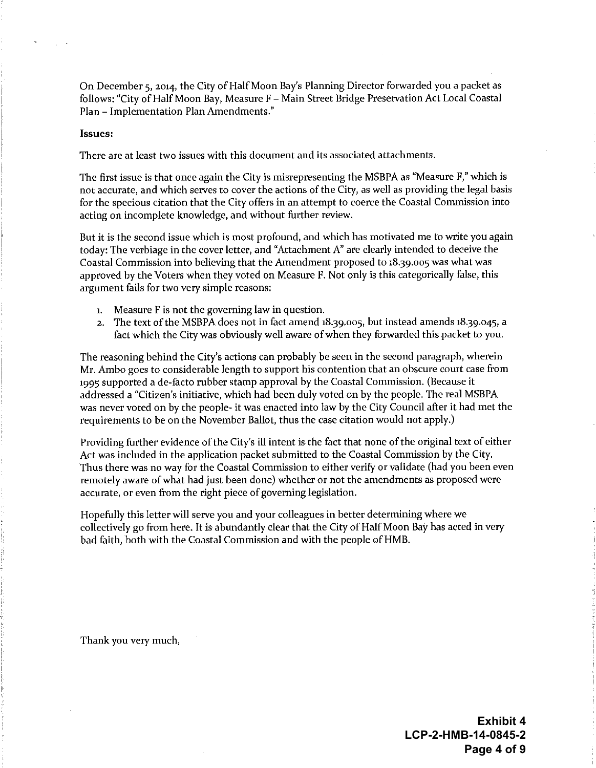On December 5, 2014, the City of Half Moon Bay's Planning Director forwarded you a packet as follows: "City of Half Moon Bay, Measure F - Main Street Bridge Preservation Act Local Coastal Plan - Implementation Plan Amendments."

#### Issues:

There are at least two issues with this document and its associated attachments.

The first issue is that once again the City is misrepresenting the MSBPA as "Measure F," which is not accurate, and which serves to cover the actions of the City, as well as providing the legal basis for the specious citation that the City offers in an attempt to coerce the Coastal Commission into acting on incomplete knowledge, and without further review.

But it is the second issue which is most profound, and which has motivated me to write you again today: The verbiage in the cover letter, and "Attachment A" are clearly intended to deceive the Coastal Commission into believing that the Amendment proposed to 18.39.005 was what was approved by the Voters when they voted on Measure F. Not only is this categorically false, this argument fails for two very simple reasons:

- 1. Measure F is not the governing law in question.
- 2. The text of the MSBPA does not in fact amend 18,39,005, but instead amends 18,39,045, a fact which the City was obviously well aware of when they forwarded this packet to you.

The reasoning behind the City's actions can probably be seen in the second paragraph, wherein Mr. Ambo goes to considerable length to support his contention that an obscure court case from 1995 supported a de-facto rubber stamp approval by the Coastal Commission. (Because it addressed a "Citizen's initiative, which had been duly voted on by the people. The real MSBPA was never voted on by the people- it was enacted into law by the City Council after it had met the requirements to be on the November Ballot, thus the case citation would not apply.)

Providing further evidence of the City's ill intent is the fact that none of the original text of either Act was included in the application packet submitted to the Coastal Commission by the City. Thus there was no way for the Coastal Commission to either verify or validate (had you been even remotely aware of what had just been done) whether or not the amendments as proposed were accurate, or even from the right piece of governing legislation.

Hopefully this letter will serve you and your colleagues in better determining where we collectively go from here. It is abundantly clear that the City of Half Moon Bay has acted in very bad faith, both with the Coastal Commission and with the people of HMB.

Thank you very much,

**Exhibit 4** LCP-2-HMB-14-0845-2 Page 4 of 9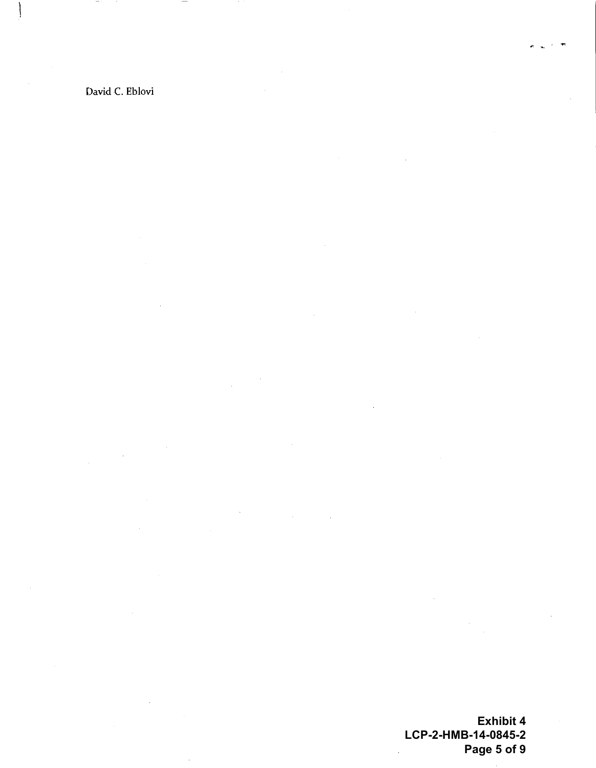David C. Eblovi

 $\bar{\beta}$ 

**Exhibit 4 LCP-2-HMB-14-0845-2 Page 5 of 9**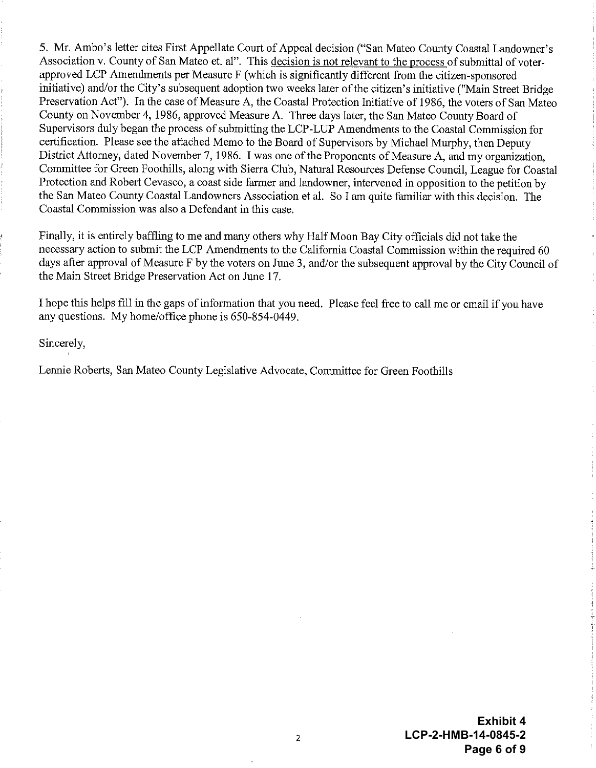5. Mr. Ambo's letter cites First Appellate Court of Appeal decision ("San Mateo County Coastal Landowner's Association v. County of San Mateo et. al". This decision is not relevant to the process of submittal of voterapproved LCP Amendments per Measure F (which is significantly different from the citizen-sponsored initiative) and/or the City's subsequent adoption two weeks later of the citizen's initiative ("Main Street Bridge Preservation Act"). In the case of Measure A, the Coastal Protection Initiative of 1986, the voters of San Mateo County on November 4, 1986, approved Measure A. Three days later, the San Mateo County Board of Supervisors duly began the process of submitting the LCP-LUP Amendments to the Coastal Commission for certification. Please see the attached Memo to the Board of Supervisors by Michael Murphy, then Deputy District Attorney, dated November 7, 1986. I was one of the Proponents of Measure A, and my organization. Committee for Green Foothills, along with Sierra Club, Natural Resources Defense Council, League for Coastal Protection and Robert Cevasco, a coast side farmer and landowner, intervened in opposition to the petition by the San Mateo County Coastal Landowners Association et al. So I am quite familiar with this decision. The Coastal Commission was also a Defendant in this case.

Finally, it is entirely baffling to me and many others why Half Moon Bay City officials did not take the necessary action to submit the LCP Amendments to the California Coastal Commission within the required 60 days after approval of Measure F by the voters on June 3, and/or the subsequent approval by the City Council of the Main Street Bridge Preservation Act on June 17.

I hope this helps fill in the gaps of information that you need. Please feel free to call me or email if you have any questions. My home/office phone is 650-854-0449.

Sincerely,

Lennie Roberts, San Mateo County Legislative Advocate, Committee for Green Foothills

**Exhibit 4** LCP-2-HMB-14-0845-2 Page 6 of 9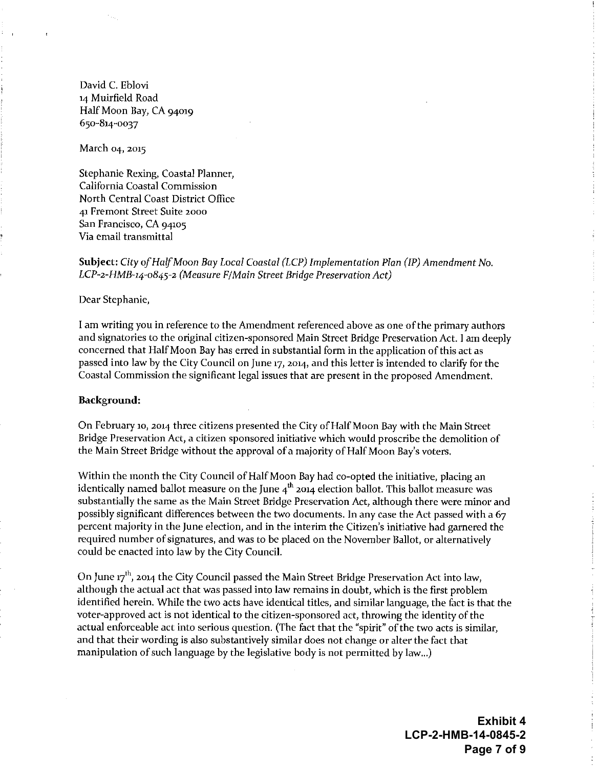David C. Eblovi 14 Muirfield Road Half Moon Bay, CA 94019 650-814-0037

March 04, 2015

Stephanie Rexing, Coastal Planner, California Coastal Commission North Central Coast District Office 41 Fremont Street Suite 2000 San Francisco, CA 94105 Via email transmittal

Subject: City of Half Moon Bay Local Coastal (LCP) Implementation Plan (IP) Amendment No. LCP-2-HMB-14-0845-2 (Measure F/Main Street Bridge Preservation Act)

Dear Stephanie,

I am writing you in reference to the Amendment referenced above as one of the primary authors and signatories to the original citizen-sponsored Main Street Bridge Preservation Act. I am deeply concerned that Half Moon Bay has erred in substantial form in the application of this act as passed into law by the City Council on June 17, 2014, and this letter is intended to clarify for the Coastal Commission the significant legal issues that are present in the proposed Amendment.

#### Background:

On February 10, 2014 three citizens presented the City of Half Moon Bay with the Main Street Bridge Preservation Act, a citizen sponsored initiative which would proscribe the demolition of the Main Street Bridge without the approval of a majority of Half Moon Bay's voters.

Within the month the City Council of Half Moon Bay had co-opted the initiative, placing an identically named ballot measure on the June  $4<sup>th</sup>$  2014 election ballot. This ballot measure was substantially the same as the Main Street Bridge Preservation Act, although there were minor and possibly significant differences between the two documents. In any case the Act passed with a 67 percent majority in the June election, and in the interim the Citizen's initiative had garnered the required number of signatures, and was to be placed on the November Ballot, or alternatively could be enacted into law by the City Council.

On June 17<sup>th</sup>, 2014 the City Council passed the Main Street Bridge Preservation Act into law, although the actual act that was passed into law remains in doubt, which is the first problem identified herein. While the two acts have identical titles, and similar language, the fact is that the voter-approved act is not identical to the citizen-sponsored act, throwing the identity of the actual enforceable act into serious question. (The fact that the "spirit" of the two acts is similar, and that their wording is also substantively similar does not change or alter the fact that manipulation of such language by the legislative body is not permitted by law...)

> **Exhibit 4** LCP-2-HMB-14-0845-2 Page 7 of 9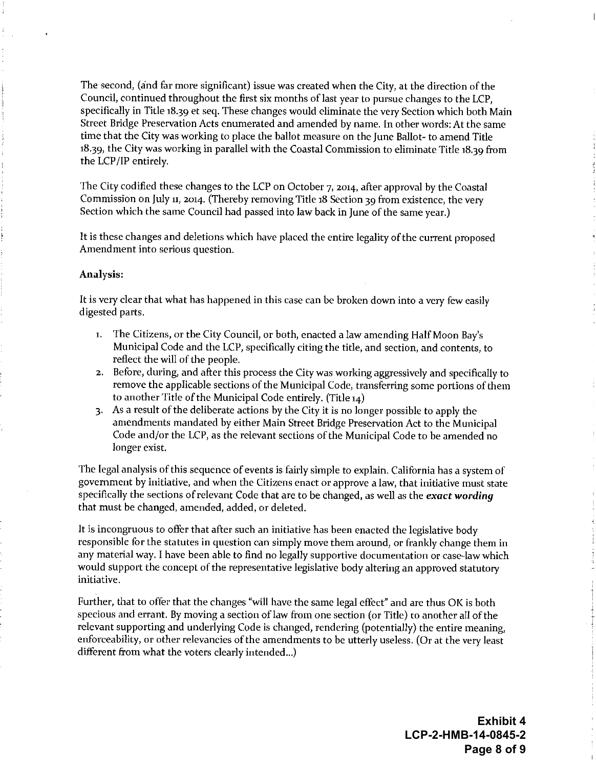The second, (and far more significant) issue was created when the City, at the direction of the Council, continued throughout the first six months of last year to pursue changes to the LCP. specifically in Title 18.39 et seq. These changes would eliminate the very Section which both Main Street Bridge Preservation Acts enumerated and amended by name. In other words: At the same time that the City was working to place the ballot measure on the June Ballot- to amend Title 18.39, the City was working in parallel with the Coastal Commission to eliminate Title 18.39 from the LCP/IP entirely.

The City codified these changes to the LCP on October 7, 2014, after approval by the Coastal Commission on July 11, 2014. (Thereby removing Title 18 Section 39 from existence, the very Section which the same Council had passed into law back in June of the same year.)

It is these changes and deletions which have placed the entire legality of the current proposed Amendment into serious question.

#### Analysis:

It is very clear that what has happened in this case can be broken down into a very few easily digested parts.

- 1. The Citizens, or the City Council, or both, enacted a law amending Half Moon Bay's Municipal Code and the LCP, specifically citing the title, and section, and contents, to reflect the will of the people.
- 2. Before, during, and after this process the City was working aggressively and specifically to remove the applicable sections of the Municipal Code, transferring some portions of them to another Title of the Municipal Code entirely. (Title 14)
- 3. As a result of the deliberate actions by the City it is no longer possible to apply the amendments mandated by either Main Street Bridge Preservation Act to the Municipal Code and/or the LCP, as the relevant sections of the Municipal Code to be amended no longer exist.

The legal analysis of this sequence of events is fairly simple to explain. California has a system of government by initiative, and when the Citizens enact or approve a law, that initiative must state specifically the sections of relevant Code that are to be changed, as well as the exact wording that must be changed, amended, added, or deleted.

It is incongruous to offer that after such an initiative has been enacted the legislative body responsible for the statutes in question can simply move them around, or frankly change them in any material way. I have been able to find no legally supportive documentation or case-law which would support the concept of the representative legislative body altering an approved statutory initiative.

Further, that to offer that the changes "will have the same legal effect" and are thus OK is both specious and errant. By moving a section of law from one section (or Title) to another all of the relevant supporting and underlying Code is changed, rendering (potentially) the entire meaning, enforceability, or other relevancies of the amendments to be utterly useless. (Or at the very least different from what the voters clearly intended...)

> **Exhibit 4** LCP-2-HMB-14-0845-2 Page 8 of 9